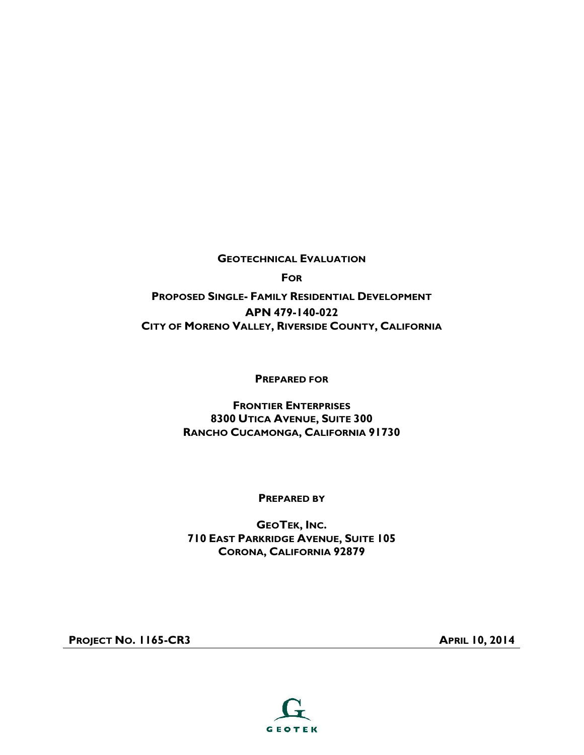**GEOTECHNICAL EVALUATION**

**FOR**

**PROPOSED SINGLE- FAMILY RESIDENTIAL DEVELOPMENT APN 479-140-022 CITY OF MORENO VALLEY, RIVERSIDE COUNTY, CALIFORNIA**

**PREPARED FOR**

**FRONTIER ENTERPRISES 8300 UTICA AVENUE, SUITE 300 RANCHO CUCAMONGA, CALIFORNIA 91730**

**PREPARED BY**

**GEOTEK, INC. 710 EAST PARKRIDGE AVENUE, SUITE 105 CORONA, CALIFORNIA 92879**

**PROJECT NO. 1165-CR3 APRIL 10,2014**

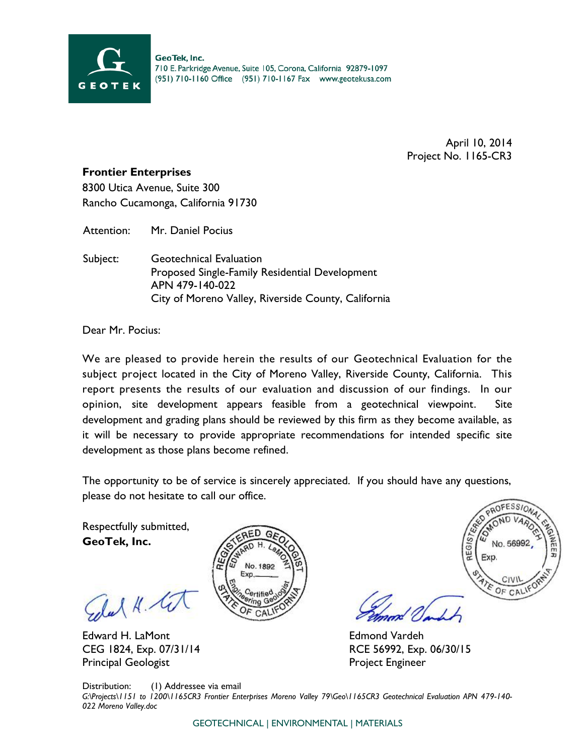

April 10, 2014 Project No. 1165-CR3

#### **Frontier Enterprises**

8300 Utica Avenue, Suite 300 Rancho Cucamonga, California 91730

Attention: Mr. Daniel Pocius

Subject: Geotechnical Evaluation Proposed Single-Family Residential Development APN 479-140-022 City of Moreno Valley, Riverside County, California

Dear Mr. Pocius:

We are pleased to provide herein the results of our Geotechnical Evaluation for the subject project located in the City of Moreno Valley, Riverside County, California. This report presents the results of our evaluation and discussion of our findings. In our opinion, site development appears feasible from a geotechnical viewpoint. Site development and grading plans should be reviewed by this firm as they become available, as it will be necessary to provide appropriate recommendations for intended specific site development as those plans become refined.

The opportunity to be of service is sincerely appreciated. If you should have any questions, please do not hesitate to call our office.

Respectfully submitted, **GeoTek, Inc.**

Edal K.

Edward H. LaMont CEG 1824, Exp. 07/31/14 Principal Geologist





Edmond Vardeh RCE 56992, Exp. 06/30/15 Project Engineer

Distribution: (1) Addressee via email *G:\Projects\1151 to 1200\1165CR3 Frontier Enterprises Moreno Valley 79\Geo\1165CR3 Geotechnical Evaluation APN 479-140- 022 Moreno Valley.doc*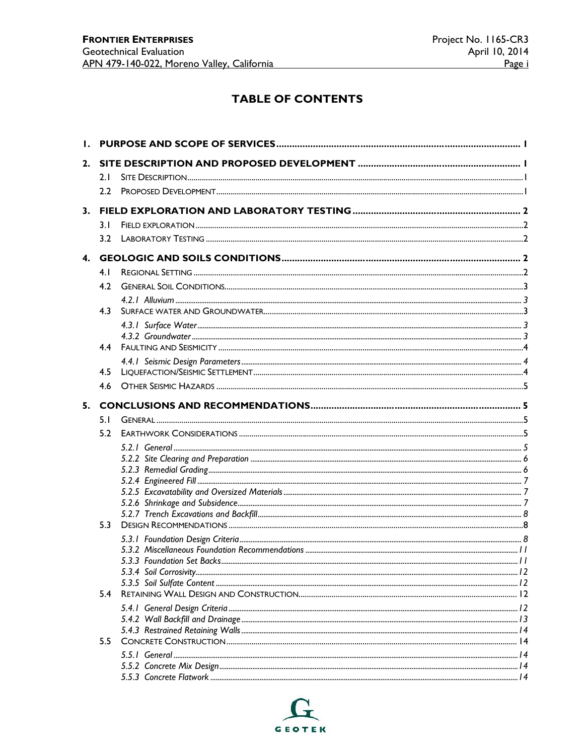## **TABLE OF CONTENTS**

| 2. |                  |                            |  |
|----|------------------|----------------------------|--|
|    | 2.1              |                            |  |
|    | 2.2 <sub>2</sub> |                            |  |
|    |                  |                            |  |
|    | 3.1              |                            |  |
|    | 3.2              |                            |  |
|    |                  |                            |  |
|    | 4. I             |                            |  |
|    | 4.2              |                            |  |
|    |                  |                            |  |
|    | 4.3              |                            |  |
|    |                  |                            |  |
|    |                  |                            |  |
|    | 4.4              |                            |  |
|    |                  |                            |  |
|    | 4.5              |                            |  |
|    | 4.6              |                            |  |
|    |                  |                            |  |
|    | 5.1              |                            |  |
|    | 5.2              |                            |  |
|    |                  |                            |  |
|    |                  |                            |  |
|    |                  |                            |  |
|    |                  |                            |  |
|    |                  |                            |  |
|    |                  |                            |  |
|    | 5.3              |                            |  |
|    |                  |                            |  |
|    |                  |                            |  |
|    |                  | 5.3.3 Foundation Set Backs |  |
|    |                  |                            |  |
|    | 5.4              |                            |  |
|    |                  |                            |  |
|    |                  |                            |  |
|    |                  |                            |  |
|    | 5.5              |                            |  |
|    |                  |                            |  |
|    |                  |                            |  |
|    |                  |                            |  |

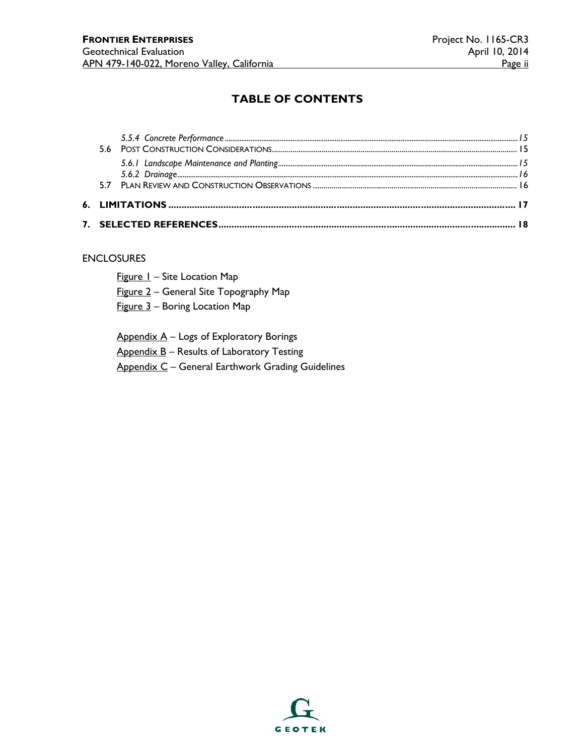## **TABLE OF CONTENTS**

#### ENCLOSURES

- Figure 1 Site Location Map
- Figure 2 General Site Topography Map
- Figure 3 Boring Location Map

Appendix A – Logs of Exploratory Borings

Appendix B - Results of Laboratory Testing

Appendix C – General Earthwork Grading Guidelines

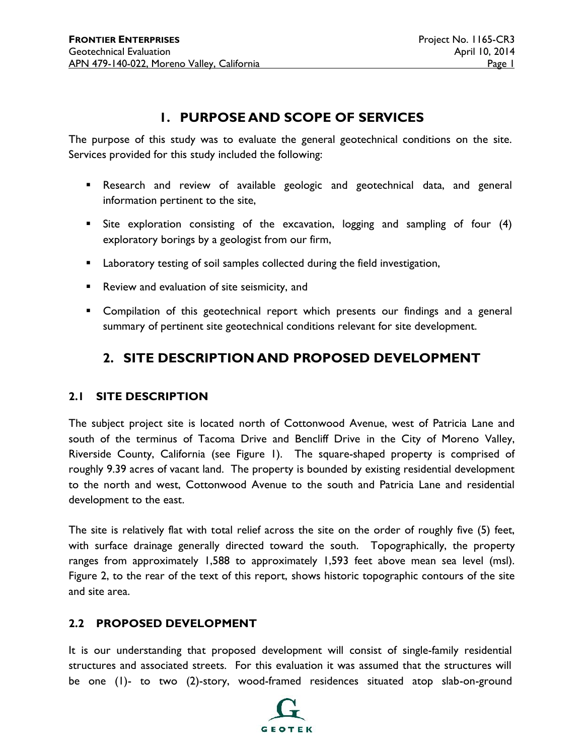## **1. PURPOSE AND SCOPE OF SERVICES**

The purpose of this study was to evaluate the general geotechnical conditions on the site. Services provided for this study included the following:

- Research and review of available geologic and geotechnical data, and general information pertinent to the site,
- Site exploration consisting of the excavation, logging and sampling of four (4) exploratory borings by a geologist from our firm,
- **E** Laboratory testing of soil samples collected during the field investigation,
- Review and evaluation of site seismicity, and
- **EXCOMPILATION COMPILATION** Compilation of this geotechnical report which presents our findings and a general summary of pertinent site geotechnical conditions relevant for site development.

## **2. SITE DESCRIPTION AND PROPOSED DEVELOPMENT**

#### **2.1 SITE DESCRIPTION**

The subject project site is located north of Cottonwood Avenue, west of Patricia Lane and south of the terminus of Tacoma Drive and Bencliff Drive in the City of Moreno Valley, Riverside County, California (see Figure 1). The square-shaped property is comprised of roughly 9.39 acres of vacant land. The property is bounded by existing residential development to the north and west, Cottonwood Avenue to the south and Patricia Lane and residential development to the east.

The site is relatively flat with total relief across the site on the order of roughly five (5) feet, with surface drainage generally directed toward the south. Topographically, the property ranges from approximately 1,588 to approximately 1,593 feet above mean sea level (msl). Figure 2, to the rear of the text of this report, shows historic topographic contours of the site and site area.

## **2.2 PROPOSED DEVELOPMENT**

It is our understanding that proposed development will consist of single-family residential structures and associated streets. For this evaluation it was assumed that the structures will be one (1)- to two (2)-story, wood-framed residences situated atop slab-on-ground

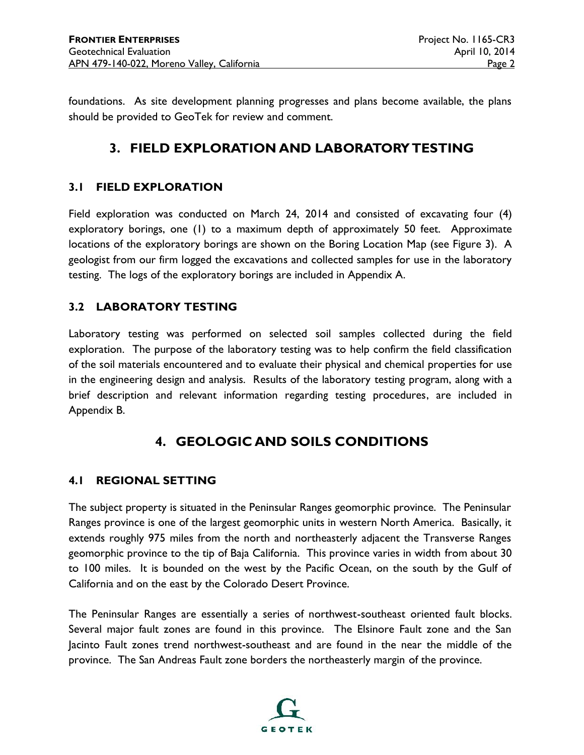foundations. As site development planning progresses and plans become available, the plans should be provided to GeoTek for review and comment.

## **3. FIELD EXPLORATION AND LABORATORY TESTING**

## **3.1 FIELD EXPLORATION**

Field exploration was conducted on March 24, 2014 and consisted of excavating four (4) exploratory borings, one (1) to a maximum depth of approximately 50 feet. Approximate locations of the exploratory borings are shown on the Boring Location Map (see Figure 3). A geologist from our firm logged the excavations and collected samples for use in the laboratory testing. The logs of the exploratory borings are included in Appendix A.

## **3.2 LABORATORY TESTING**

Laboratory testing was performed on selected soil samples collected during the field exploration. The purpose of the laboratory testing was to help confirm the field classification of the soil materials encountered and to evaluate their physical and chemical properties for use in the engineering design and analysis. Results of the laboratory testing program, along with a brief description and relevant information regarding testing procedures, are included in Appendix B.

## **4. GEOLOGIC AND SOILS CONDITIONS**

## **4.1 REGIONAL SETTING**

The subject property is situated in the Peninsular Ranges geomorphic province. The Peninsular Ranges province is one of the largest geomorphic units in western North America. Basically, it extends roughly 975 miles from the north and northeasterly adjacent the Transverse Ranges geomorphic province to the tip of Baja California. This province varies in width from about 30 to 100 miles. It is bounded on the west by the Pacific Ocean, on the south by the Gulf of California and on the east by the Colorado Desert Province.

The Peninsular Ranges are essentially a series of northwest-southeast oriented fault blocks. Several major fault zones are found in this province. The Elsinore Fault zone and the San Jacinto Fault zones trend northwest-southeast and are found in the near the middle of the province. The San Andreas Fault zone borders the northeasterly margin of the province.

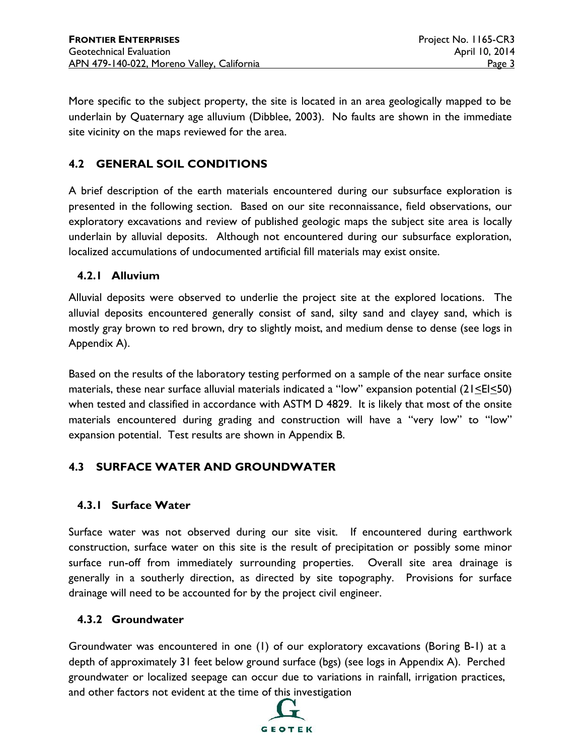More specific to the subject property, the site is located in an area geologically mapped to be underlain by Quaternary age alluvium (Dibblee, 2003). No faults are shown in the immediate site vicinity on the maps reviewed for the area.

## **4.2 GENERAL SOIL CONDITIONS**

A brief description of the earth materials encountered during our subsurface exploration is presented in the following section. Based on our site reconnaissance, field observations, our exploratory excavations and review of published geologic maps the subject site area is locally underlain by alluvial deposits. Although not encountered during our subsurface exploration, localized accumulations of undocumented artificial fill materials may exist onsite.

## **4.2.1 Alluvium**

Alluvial deposits were observed to underlie the project site at the explored locations. The alluvial deposits encountered generally consist of sand, silty sand and clayey sand, which is mostly gray brown to red brown, dry to slightly moist, and medium dense to dense (see logs in Appendix A).

Based on the results of the laboratory testing performed on a sample of the near surface onsite materials, these near surface alluvial materials indicated a "low" expansion potential  $(21\leq E\leq 50)$ when tested and classified in accordance with ASTM D 4829. It is likely that most of the onsite materials encountered during grading and construction will have a "very low" to "low" expansion potential. Test results are shown in Appendix B.

## **4.3 SURFACE WATER AND GROUNDWATER**

## **4.3.1 Surface Water**

Surface water was not observed during our site visit. If encountered during earthwork construction, surface water on this site is the result of precipitation or possibly some minor surface run-off from immediately surrounding properties. Overall site area drainage is generally in a southerly direction, as directed by site topography. Provisions for surface drainage will need to be accounted for by the project civil engineer.

#### **4.3.2 Groundwater**

Groundwater was encountered in one (1) of our exploratory excavations (Boring B-1) at a depth of approximately 31 feet below ground surface (bgs) (see logs in Appendix A). Perched groundwater or localized seepage can occur due to variations in rainfall, irrigation practices, and other factors not evident at the time of this investigation

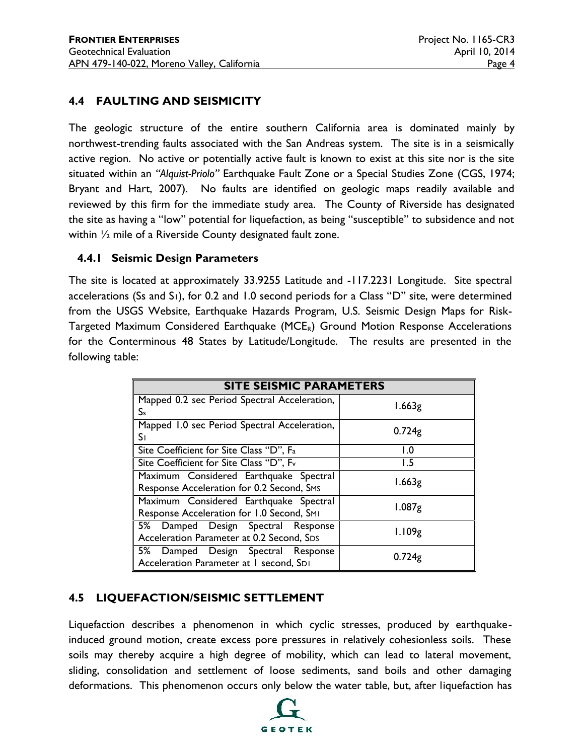## **4.4 FAULTING AND SEISMICITY**

The geologic structure of the entire southern California area is dominated mainly by northwest-trending faults associated with the San Andreas system. The site is in a seismically active region. No active or potentially active fault is known to exist at this site nor is the site situated within an *"Alquist-Priolo"* Earthquake Fault Zone or a Special Studies Zone (CGS, 1974; Bryant and Hart, 2007). No faults are identified on geologic maps readily available and reviewed by this firm for the immediate study area. The County of Riverside has designated the site as having a "low" potential for liquefaction, as being "susceptible" to subsidence and not within ½ mile of a Riverside County designated fault zone.

## **4.4.1 Seismic Design Parameters**

The site is located at approximately 33.9255 Latitude and -117.2231 Longitude. Site spectral accelerations (Ss and S<sub>1</sub>), for 0.2 and 1.0 second periods for a Class "D" site, were determined from the USGS Website, Earthquake Hazards Program, U.S. Seismic Design Maps for Risk- Targeted Maximum Considered Earthquake (MCE<sub>R</sub>) Ground Motion Response Accelerations for the Conterminous 48 States by Latitude/Longitude. The results are presented in the following table:

| <b>SITE SEISMIC PARAMETERS</b>                                                          |                    |  |  |  |  |  |  |
|-----------------------------------------------------------------------------------------|--------------------|--|--|--|--|--|--|
| Mapped 0.2 sec Period Spectral Acceleration,<br>Ss                                      | 1.663g             |  |  |  |  |  |  |
| Mapped 1.0 sec Period Spectral Acceleration,<br>S۱                                      | 0.724 <sub>g</sub> |  |  |  |  |  |  |
| Site Coefficient for Site Class "D", Fa                                                 | 1.0                |  |  |  |  |  |  |
| Site Coefficient for Site Class "D", Fv                                                 | 1.5                |  |  |  |  |  |  |
| Maximum Considered Earthquake Spectral<br>Response Acceleration for 0.2 Second, SMS     | 1.663g             |  |  |  |  |  |  |
| Maximum Considered Earthquake Spectral<br>Response Acceleration for 1.0 Second, SMI     | 1.087 <sub>g</sub> |  |  |  |  |  |  |
| 5% Damped Design Spectral Response<br>Acceleration Parameter at 0.2 Second, SDS         | 1.109g             |  |  |  |  |  |  |
| 5% Damped Design Spectral Response<br>0.724g<br>Acceleration Parameter at I second, SDI |                    |  |  |  |  |  |  |

## **4.5 LIQUEFACTION/SEISMIC SETTLEMENT**

Liquefaction describes a phenomenon in which cyclic stresses, produced by earthquakeinduced ground motion, create excess pore pressures in relatively cohesionless soils. These soils may thereby acquire a high degree of mobility, which can lead to lateral movement, sliding, consolidation and settlement of loose sediments, sand boils and other damaging deformations. This phenomenon occurs only below the water table, but, after liquefaction has

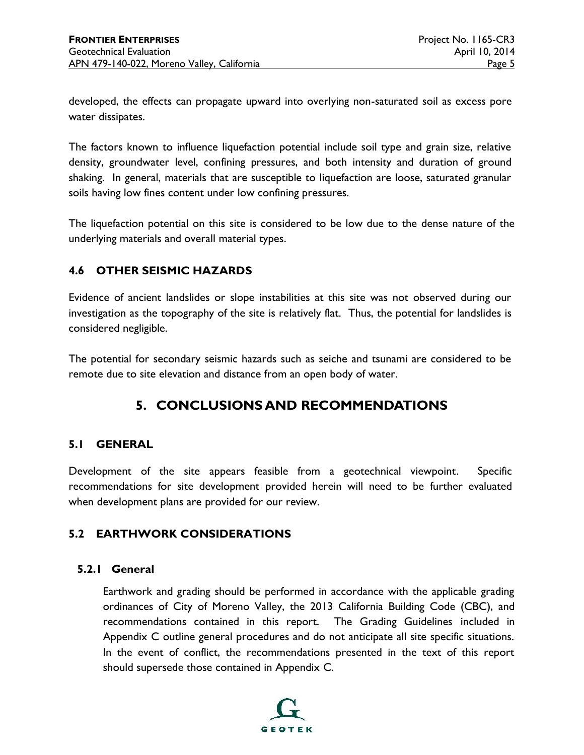developed, the effects can propagate upward into overlying non-saturated soil as excess pore water dissipates.

The factors known to influence liquefaction potential include soil type and grain size, relative density, groundwater level, confining pressures, and both intensity and duration of ground shaking. In general, materials that are susceptible to liquefaction are loose, saturated granular soils having low fines content under low confining pressures.

The liquefaction potential on this site is considered to be low due to the dense nature of the underlying materials and overall material types.

## **4.6 OTHER SEISMIC HAZARDS**

Evidence of ancient landslides or slope instabilities at this site was not observed during our investigation as the topography of the site is relatively flat. Thus, the potential for landslides is considered negligible.

The potential for secondary seismic hazards such as seiche and tsunami are considered to be remote due to site elevation and distance from an open body of water.

## **5. CONCLUSIONS AND RECOMMENDATIONS**

## **5.1 GENERAL**

Development of the site appears feasible from a geotechnical viewpoint. Specific recommendations for site development provided herein will need to be further evaluated when development plans are provided for our review.

#### **5.2 EARTHWORK CONSIDERATIONS**

#### **5.2.1 General**

Earthwork and grading should be performed in accordance with the applicable grading ordinances of City of Moreno Valley, the 2013 California Building Code (CBC), and recommendations contained in this report. The Grading Guidelines included in Appendix C outline general procedures and do not anticipate all site specific situations. In the event of conflict, the recommendations presented in the text of this report should supersede those contained in Appendix C.

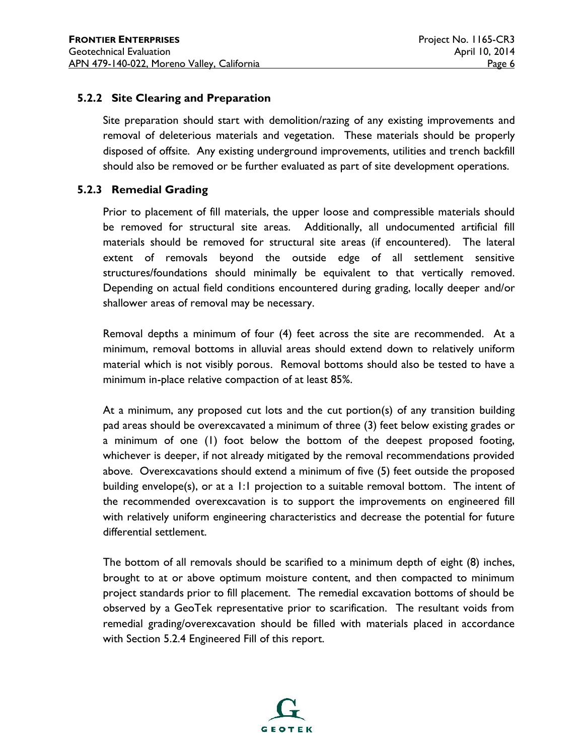#### **5.2.2 Site Clearing and Preparation**

Site preparation should start with demolition/razing of any existing improvements and removal of deleterious materials and vegetation. These materials should be properly disposed of offsite. Any existing underground improvements, utilities and trench backfill should also be removed or be further evaluated as part of site development operations.

#### **5.2.3 Remedial Grading**

Prior to placement of fill materials, the upper loose and compressible materials should be removed for structural site areas. Additionally, all undocumented artificial fill materials should be removed for structural site areas (if encountered). The lateral extent of removals beyond the outside edge of all settlement sensitive structures/foundations should minimally be equivalent to that vertically removed. Depending on actual field conditions encountered during grading, locally deeper and/or shallower areas of removal may be necessary.

Removal depths a minimum of four (4) feet across the site are recommended. At a minimum, removal bottoms in alluvial areas should extend down to relatively uniform material which is not visibly porous. Removal bottoms should also be tested to have a minimum in-place relative compaction of at least 85%.

At a minimum, any proposed cut lots and the cut portion(s) of any transition building pad areas should be overexcavated a minimum of three (3) feet below existing grades or a minimum of one (1) foot below the bottom of the deepest proposed footing, whichever is deeper, if not already mitigated by the removal recommendations provided above. Overexcavations should extend a minimum of five (5) feet outside the proposed building envelope(s), or at a 1:1 projection to a suitable removal bottom. The intent of the recommended overexcavation is to support the improvements on engineered fill with relatively uniform engineering characteristics and decrease the potential for future differential settlement.

The bottom of all removals should be scarified to a minimum depth of eight (8) inches, brought to at or above optimum moisture content, and then compacted to minimum project standards prior to fill placement. The remedial excavation bottoms of should be observed by a GeoTek representative prior to scarification. The resultant voids from remedial grading/overexcavation should be filled with materials placed in accordance with Section 5.2.4 Engineered Fill of this report.

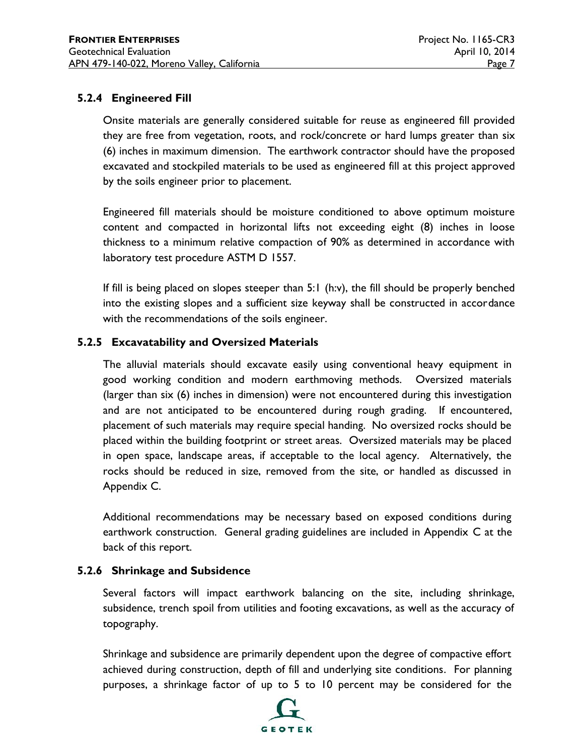## **5.2.4 Engineered Fill**

Onsite materials are generally considered suitable for reuse as engineered fill provided they are free from vegetation, roots, and rock/concrete or hard lumps greater than six (6) inches in maximum dimension. The earthwork contractor should have the proposed excavated and stockpiled materials to be used as engineered fill at this project approved by the soils engineer prior to placement.

Engineered fill materials should be moisture conditioned to above optimum moisture content and compacted in horizontal lifts not exceeding eight (8) inches in loose thickness to a minimum relative compaction of 90% as determined in accordance with laboratory test procedure ASTM D 1557.

If fill is being placed on slopes steeper than 5:1 (h:v), the fill should be properly benched into the existing slopes and a sufficient size keyway shall be constructed in accordance with the recommendations of the soils engineer.

## **5.2.5 Excavatability and Oversized Materials**

The alluvial materials should excavate easily using conventional heavy equipment in good working condition and modern earthmoving methods. Oversized materials (larger than six (6) inches in dimension) were not encountered during this investigation and are not anticipated to be encountered during rough grading. If encountered, placement of such materials may require special handing. No oversized rocks should be placed within the building footprint or street areas. Oversized materials may be placed in open space, landscape areas, if acceptable to the local agency. Alternatively, the rocks should be reduced in size, removed from the site, or handled as discussed in Appendix C.

Additional recommendations may be necessary based on exposed conditions during earthwork construction. General grading guidelines are included in Appendix C at the back of this report.

## **5.2.6 Shrinkage and Subsidence**

Several factors will impact earthwork balancing on the site, including shrinkage, subsidence, trench spoil from utilities and footing excavations, as well as the accuracy of topography.

Shrinkage and subsidence are primarily dependent upon the degree of compactive effort achieved during construction, depth of fill and underlying site conditions. For planning purposes, a shrinkage factor of up to 5 to 10 percent may be considered for the

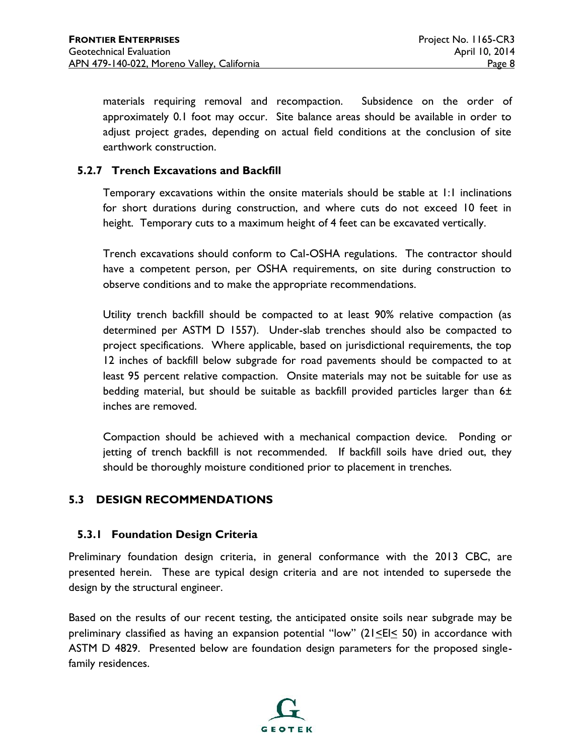materials requiring removal and recompaction. Subsidence on the order of approximately 0.1 foot may occur. Site balance areas should be available in order to adjust project grades, depending on actual field conditions at the conclusion of site earthwork construction.

#### **5.2.7 Trench Excavations and Backfill**

Temporary excavations within the onsite materials should be stable at 1:1 inclinations for short durations during construction, and where cuts do not exceed 10 feet in height. Temporary cuts to a maximum height of 4 feet can be excavated vertically.

Trench excavations should conform to Cal-OSHA regulations. The contractor should have a competent person, per OSHA requirements, on site during construction to observe conditions and to make the appropriate recommendations.

Utility trench backfill should be compacted to at least 90% relative compaction (as determined per ASTM D 1557). Under-slab trenches should also be compacted to project specifications. Where applicable, based on jurisdictional requirements, the top 12 inches of backfill below subgrade for road pavements should be compacted to at least 95 percent relative compaction. Onsite materials may not be suitable for use as bedding material, but should be suitable as backfill provided particles larger than 6± inches are removed.

Compaction should be achieved with a mechanical compaction device. Ponding or jetting of trench backfill is not recommended. If backfill soils have dried out, they should be thoroughly moisture conditioned prior to placement in trenches.

## **5.3 DESIGN RECOMMENDATIONS**

#### **5.3.1 Foundation Design Criteria**

Preliminary foundation design criteria, in general conformance with the 2013 CBC, are presented herein. These are typical design criteria and are not intended to supersede the design by the structural engineer.

Based on the results of our recent testing, the anticipated onsite soils near subgrade may be preliminary classified as having an expansion potential "low" ( $21 \le E \le 50$ ) in accordance with ASTM D 4829. Presented below are foundation design parameters for the proposed singlefamily residences.

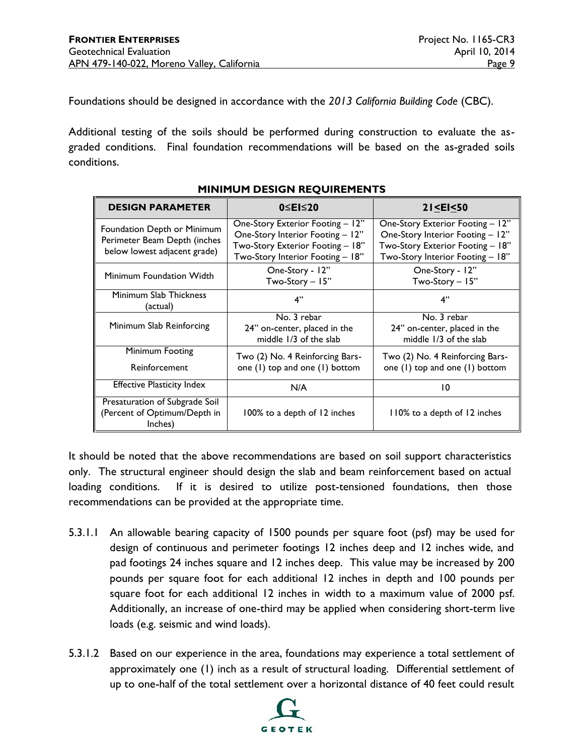Foundations should be designed in accordance with the *2013 California Building Code* (CBC).

Additional testing of the soils should be performed during construction to evaluate the as graded conditions. Final foundation recommendations will be based on the as-graded soils conditions.

| <b>DESIGN PARAMETER</b>                                                                     | $0 \le E \le 20$                                                                                                                             | $21$ <ei 50<="" <="" th=""></ei>                                                                                                             |  |  |
|---------------------------------------------------------------------------------------------|----------------------------------------------------------------------------------------------------------------------------------------------|----------------------------------------------------------------------------------------------------------------------------------------------|--|--|
| Foundation Depth or Minimum<br>Perimeter Beam Depth (inches<br>below lowest adjacent grade) | One-Story Exterior Footing - 12"<br>One-Story Interior Footing - 12"<br>Two-Story Exterior Footing - 18"<br>Two-Story Interior Footing - 18" | One-Story Exterior Footing - 12"<br>One-Story Interior Footing - 12"<br>Two-Story Exterior Footing - 18"<br>Two-Story Interior Footing - 18" |  |  |
| Minimum Foundation Width                                                                    | One-Story - 12"<br>Two-Story - 15"                                                                                                           | One-Story - 12"<br>Two-Story - 15"                                                                                                           |  |  |
| Minimum Slab Thickness<br>(actual)                                                          | 4"                                                                                                                                           | 4"                                                                                                                                           |  |  |
| Minimum Slab Reinforcing                                                                    | No. 3 rebar<br>24" on-center, placed in the<br>middle 1/3 of the slab                                                                        | No. 3 rebar<br>24" on-center, placed in the<br>middle 1/3 of the slab                                                                        |  |  |
| Minimum Footing<br>Reinforcement                                                            | Two (2) No. 4 Reinforcing Bars-<br>one (1) top and one (1) bottom                                                                            | Two (2) No. 4 Reinforcing Bars-<br>one (1) top and one (1) bottom                                                                            |  |  |
| <b>Effective Plasticity Index</b>                                                           | N/A                                                                                                                                          | 10                                                                                                                                           |  |  |
| Presaturation of Subgrade Soil<br>(Percent of Optimum/Depth in<br>Inches)                   | 100% to a depth of 12 inches                                                                                                                 | 110% to a depth of 12 inches                                                                                                                 |  |  |

#### **MINIMUM DESIGN REQUIREMENTS**

It should be noted that the above recommendations are based on soil support characteristics only. The structural engineer should design the slab and beam reinforcement based on actual loading conditions. If it is desired to utilize post-tensioned foundations, then those recommendations can be provided at the appropriate time.

- 5.3.1.1 An allowable bearing capacity of 1500 pounds per square foot (psf) may be used for design of continuous and perimeter footings 12 inches deep and 12 inches wide, and pad footings 24 inches square and 12 inches deep. This value may be increased by 200 pounds per square foot for each additional 12 inches in depth and 100 pounds per square foot for each additional 12 inches in width to a maximum value of 2000 psf. Additionally, an increase of one-third may be applied when considering short-term live loads (e.g. seismic and wind loads).
- 5.3.1.2 Based on our experience in the area, foundations may experience a total settlement of approximately one (1) inch as a result of structural loading. Differential settlement of up to one-half of the total settlement over a horizontal distance of 40 feet could result

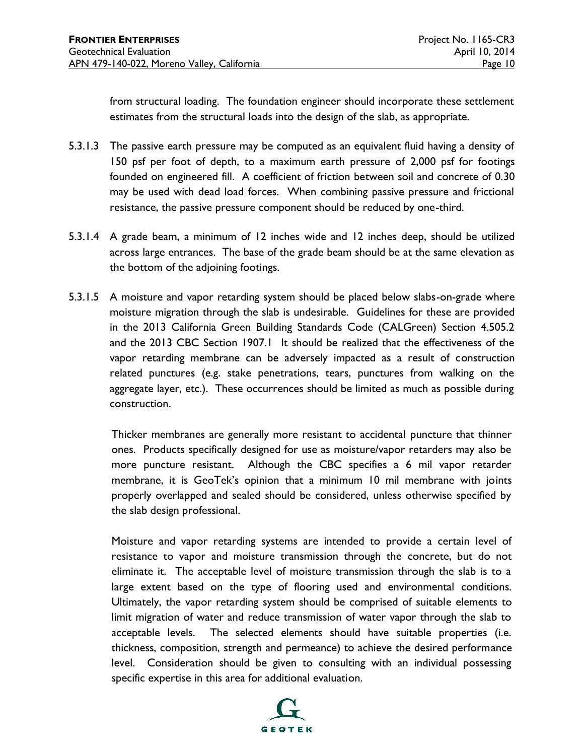from structural loading. The foundation engineer should incorporate these settlement estimates from the structural loads into the design of the slab, as appropriate.

- 5.3.1.3 The passive earth pressure may be computed as an equivalent fluid having a density of 150 psf per foot of depth, to a maximum earth pressure of 2,000 psf for footings founded on engineered fill. A coefficient of friction between soil and concrete of 0.30 may be used with dead load forces. When combining passive pressure and frictional resistance, the passive pressure component should be reduced by one-third.
- 5.3.1.4 A grade beam, a minimum of 12 inches wide and 12 inches deep, should be utilized across large entrances. The base of the grade beam should be at the same elevation as the bottom of the adjoining footings.
- 5.3.1.5 A moisture and vapor retarding system should be placed below slabs-on-grade where moisture migration through the slab is undesirable. Guidelines for these are provided in the 2013 California Green Building Standards Code (CALGreen) Section 4.505.2 and the 2013 CBC Section 1907.1 It should be realized that the effectiveness of the vapor retarding membrane can be adversely impacted as a result of construction related punctures (e.g. stake penetrations, tears, punctures from walking on the aggregate layer, etc.). These occurrences should be limited as much as possible during construction.

Thicker membranes are generally more resistant to accidental puncture that thinner ones. Products specifically designed for use as moisture/vapor retarders may also be more puncture resistant. Although the CBC specifies a 6 mil vapor retarder membrane, it is GeoTek's opinion that a minimum 10 mil membrane with joints properly overlapped and sealed should be considered, unless otherwise specified by the slab design professional.

Moisture and vapor retarding systems are intended to provide a certain level of resistance to vapor and moisture transmission through the concrete, but do not eliminate it. The acceptable level of moisture transmission through the slab is to a large extent based on the type of flooring used and environmental conditions. Ultimately, the vapor retarding system should be comprised of suitable elements to limit migration of water and reduce transmission of water vapor through the slab to acceptable levels. The selected elements should have suitable properties (i.e. thickness, composition, strength and permeance) to achieve the desired performance level. Consideration should be given to consulting with an individual possessing specific expertise in this area for additional evaluation.

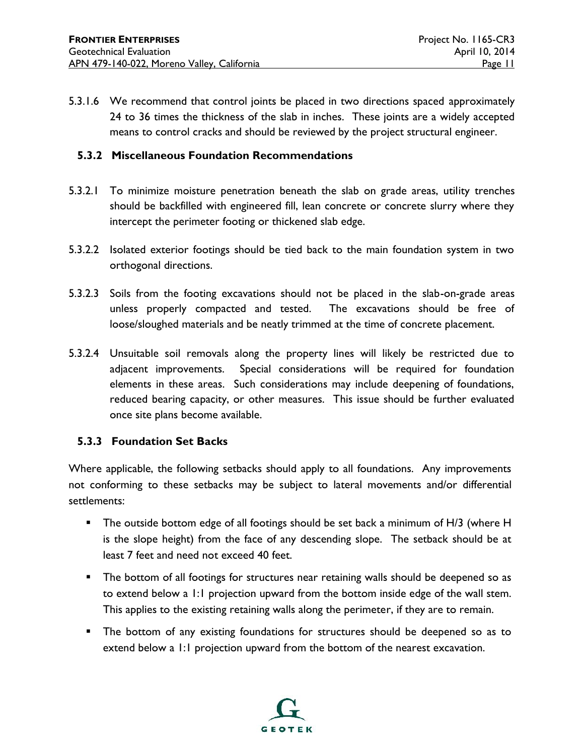5.3.1.6 We recommend that control joints be placed in two directions spaced approximately 24 to 36 times the thickness of the slab in inches. These joints are a widely accepted means to control cracks and should be reviewed by the project structural engineer.

#### **5.3.2 Miscellaneous Foundation Recommendations**

- 5.3.2.1 To minimize moisture penetration beneath the slab on grade areas, utility trenches should be backfilled with engineered fill, lean concrete or concrete slurry where they intercept the perimeter footing or thickened slab edge.
- 5.3.2.2 Isolated exterior footings should be tied back to the main foundation system in two orthogonal directions.
- 5.3.2.3 Soils from the footing excavations should not be placed in the slab-on-grade areas unless properly compacted and tested. The excavations should be free of loose/sloughed materials and be neatly trimmed at the time of concrete placement.
- 5.3.2.4 Unsuitable soil removals along the property lines will likely be restricted due to adjacent improvements. Special considerations will be required for foundation elements in these areas. Such considerations may include deepening of foundations, reduced bearing capacity, or other measures. This issue should be further evaluated once site plans become available.

#### **5.3.3 Foundation Set Backs**

Where applicable, the following setbacks should apply to all foundations. Any improvements not conforming to these setbacks may be subject to lateral movements and/or differential settlements:

- The outside bottom edge of all footings should be set back a minimum of H/3 (where H is the slope height) from the face of any descending slope. The setback should be at least 7 feet and need not exceed 40 feet.
- **The bottom of all footings for structures near retaining walls should be deepened so as** to extend below a 1:1 projection upward from the bottom inside edge of the wall stem. This applies to the existing retaining walls along the perimeter, if they are to remain.
- The bottom of any existing foundations for structures should be deepened so as to extend below a 1:1 projection upward from the bottom of the nearest excavation.

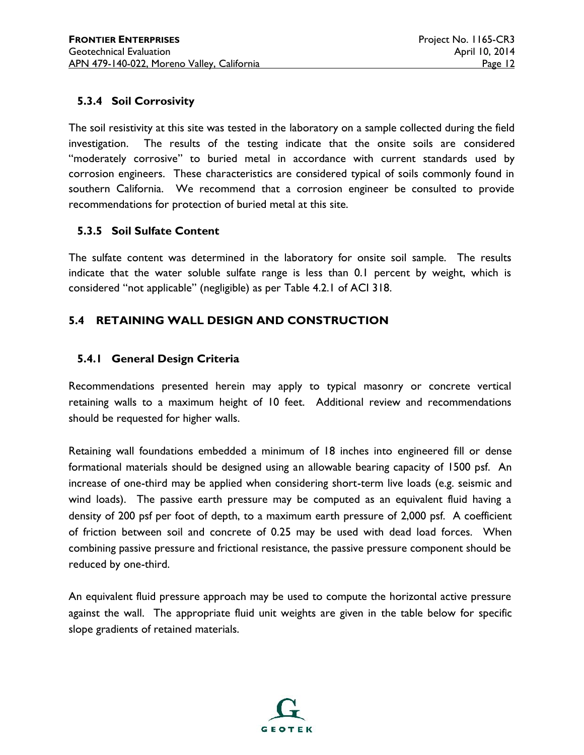## **5.3.4 Soil Corrosivity**

The soil resistivity at this site was tested in the laboratory on a sample collected during the field investigation. The results of the testing indicate that the onsite soils are considered "moderately corrosive" to buried metal in accordance with current standards used by corrosion engineers. These characteristics are considered typical of soils commonly found in southern California. We recommend that a corrosion engineer be consulted to provide recommendations for protection of buried metal at this site.

## **5.3.5 Soil Sulfate Content**

The sulfate content was determined in the laboratory for onsite soil sample. The results indicate that the water soluble sulfate range is less than 0.1 percent by weight, which is considered "not applicable" (negligible) as per Table 4.2.1 of ACI 318.

## **5.4 RETAINING WALL DESIGN AND CONSTRUCTION**

#### **5.4.1 General Design Criteria**

Recommendations presented herein may apply to typical masonry or concrete vertical retaining walls to a maximum height of 10 feet. Additional review and recommendations should be requested for higher walls.

Retaining wall foundations embedded a minimum of 18 inches into engineered fill or dense formational materials should be designed using an allowable bearing capacity of 1500 psf. An increase of one-third may be applied when considering short-term live loads (e.g. seismic and wind loads). The passive earth pressure may be computed as an equivalent fluid having a density of 200 psf per foot of depth, to a maximum earth pressure of 2,000 psf. A coefficient of friction between soil and concrete of 0.25 may be used with dead load forces. When combining passive pressure and frictional resistance, the passive pressure component should be reduced by one-third.

An equivalent fluid pressure approach may be used to compute the horizontal active pressure against the wall. The appropriate fluid unit weights are given in the table below for specific slope gradients of retained materials.

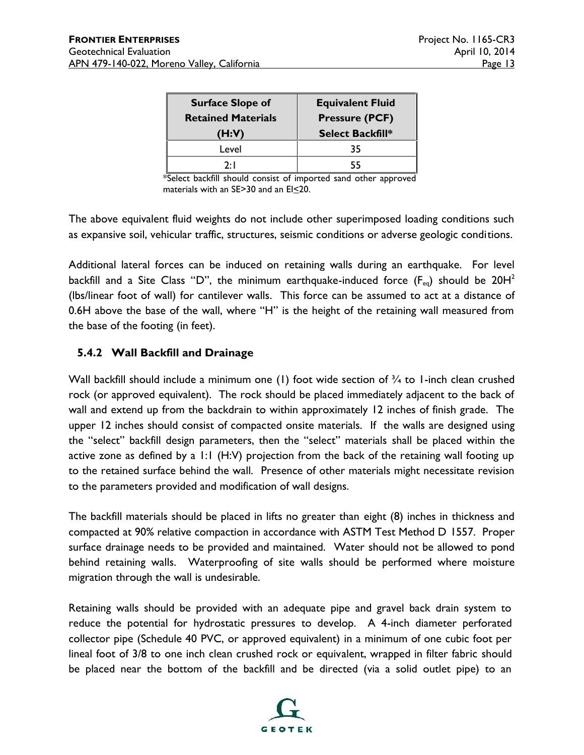| <b>Surface Slope of</b><br><b>Retained Materials</b><br>(H:V) | <b>Equivalent Fluid</b><br><b>Pressure (PCF)</b><br><b>Select Backfill*</b> |
|---------------------------------------------------------------|-----------------------------------------------------------------------------|
| Level                                                         | 35                                                                          |
| つ・I                                                           |                                                                             |

\*Select backfill should consist of imported sand other approved materials with an  $SE > 30$  and an  $El \leq 20$ .

The above equivalent fluid weights do not include other superimposed loading conditions such as expansive soil, vehicular traffic, structures, seismic conditions or adverse geologic conditions.

Additional lateral forces can be induced on retaining walls during an earthquake. For level backfill and a Site Class ''D'', the minimum earthquake-induced force (F<sub>eq</sub>) should be 20H $^{\rm 2}$ (lbs/linear foot of wall) for cantilever walls. This force can be assumed to act at a distance of 0.6H above the base of the wall, where "H" is the height of the retaining wall measured from the base of the footing (in feet).

## **5.4.2 Wall Backfill and Drainage**

Wall backfill should include a minimum one (1) foot wide section of  $\frac{3}{4}$  to 1-inch clean crushed rock (or approved equivalent). The rock should be placed immediately adjacent to the back of wall and extend up from the backdrain to within approximately 12 inches of finish grade. The upper 12 inches should consist of compacted onsite materials. If the walls are designed using the "select" backfill design parameters, then the "select" materials shall be placed within the active zone as defined by a 1:1 (H:V) projection from the back of the retaining wall footing up to the retained surface behind the wall. Presence of other materials might necessitate revision to the parameters provided and modification of wall designs.

The backfill materials should be placed in lifts no greater than eight (8) inches in thickness and compacted at 90% relative compaction in accordance with ASTM Test Method D 1557. Proper surface drainage needs to be provided and maintained. Water should not be allowed to pond behind retaining walls. Waterproofing of site walls should be performed where moisture migration through the wall is undesirable.

Retaining walls should be provided with an adequate pipe and gravel back drain system to reduce the potential for hydrostatic pressures to develop. A 4-inch diameter perforated collector pipe (Schedule 40 PVC, or approved equivalent) in a minimum of one cubic foot per lineal foot of 3/8 to one inch clean crushed rock or equivalent, wrapped in filter fabric should be placed near the bottom of the backfill and be directed (via a solid outlet pipe) to an

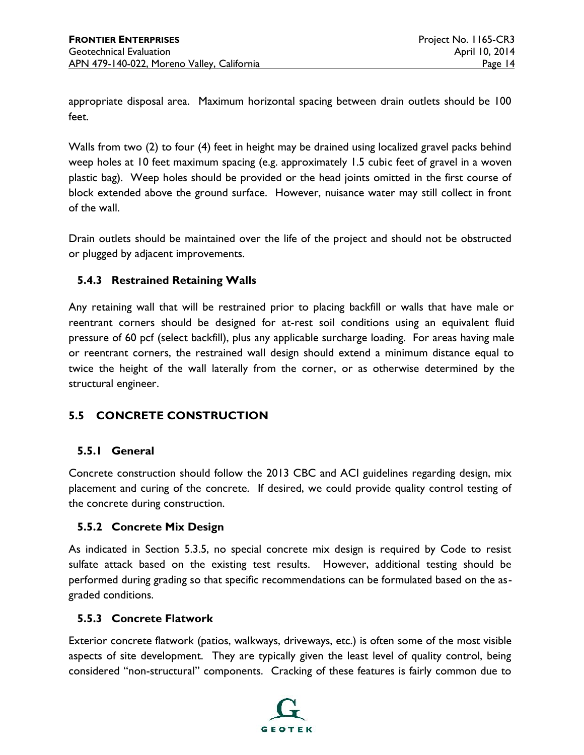appropriate disposal area. Maximum horizontal spacing between drain outlets should be 100 feet.

Walls from two (2) to four (4) feet in height may be drained using localized gravel packs behind weep holes at 10 feet maximum spacing (e.g. approximately 1.5 cubic feet of gravel in a woven plastic bag). Weep holes should be provided or the head joints omitted in the first course of block extended above the ground surface. However, nuisance water may still collect in front of the wall.

Drain outlets should be maintained over the life of the project and should not be obstructed or plugged by adjacent improvements.

## **5.4.3 Restrained Retaining Walls**

Any retaining wall that will be restrained prior to placing backfill or walls that have male or reentrant corners should be designed for at-rest soil conditions using an equivalent fluid pressure of 60 pcf (select backfill), plus any applicable surcharge loading. For areas having male or reentrant corners, the restrained wall design should extend a minimum distance equal to twice the height of the wall laterally from the corner, or as otherwise determined by the structural engineer.

## **5.5 CONCRETE CONSTRUCTION**

## **5.5.1 General**

Concrete construction should follow the 2013 CBC and ACI guidelines regarding design, mix placement and curing of the concrete. If desired, we could provide quality control testing of the concrete during construction.

#### **5.5.2 Concrete Mix Design**

As indicated in Section 5.3.5, no special concrete mix design is required by Code to resist sulfate attack based on the existing test results. However, additional testing should be performed during grading so that specific recommendations can be formulated based on the as graded conditions.

#### **5.5.3 Concrete Flatwork**

Exterior concrete flatwork (patios, walkways, driveways, etc.) is often some of the most visible aspects of site development. They are typically given the least level of quality control, being considered "non-structural" components. Cracking of these features is fairly common due to

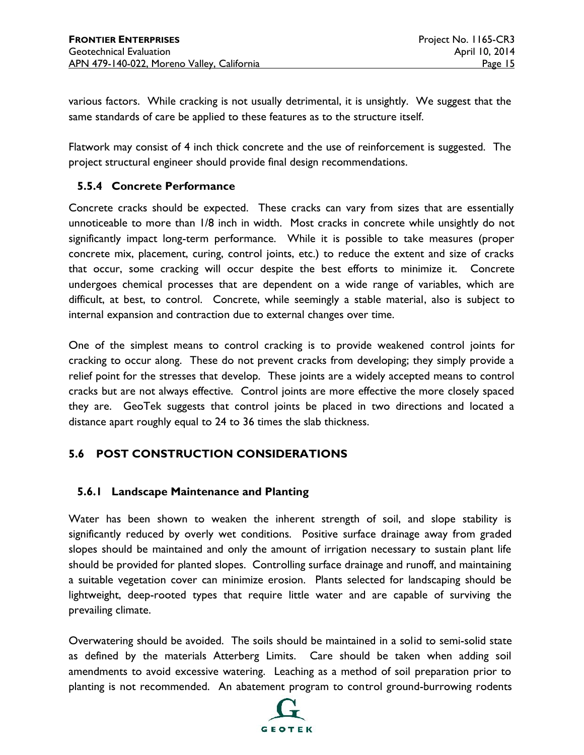various factors. While cracking is not usually detrimental, it is unsightly. We suggest that the same standards of care be applied to these features as to the structure itself.

Flatwork may consist of 4 inch thick concrete and the use of reinforcement is suggested. The project structural engineer should provide final design recommendations.

## **5.5.4 Concrete Performance**

Concrete cracks should be expected. These cracks can vary from sizes that are essentially unnoticeable to more than 1/8 inch in width. Most cracks in concrete while unsightly do not significantly impact long-term performance. While it is possible to take measures (proper concrete mix, placement, curing, control joints, etc.) to reduce the extent and size of cracks that occur, some cracking will occur despite the best efforts to minimize it. Concrete undergoes chemical processes that are dependent on a wide range of variables, which are difficult, at best, to control. Concrete, while seemingly a stable material, also is subject to internal expansion and contraction due to external changes over time.

One of the simplest means to control cracking is to provide weakened control joints for cracking to occur along. These do not prevent cracks from developing; they simply provide a relief point for the stresses that develop. These joints are a widely accepted means to control cracks but are not always effective. Control joints are more effective the more closely spaced they are. GeoTek suggests that control joints be placed in two directions and located a distance apart roughly equal to 24 to 36 times the slab thickness.

## **5.6 POST CONSTRUCTION CONSIDERATIONS**

#### **5.6.1 Landscape Maintenance and Planting**

Water has been shown to weaken the inherent strength of soil, and slope stability is significantly reduced by overly wet conditions. Positive surface drainage away from graded slopes should be maintained and only the amount of irrigation necessary to sustain plant life should be provided for planted slopes. Controlling surface drainage and runoff, and maintaining a suitable vegetation cover can minimize erosion. Plants selected for landscaping should be lightweight, deep-rooted types that require little water and are capable of surviving the prevailing climate.

Overwatering should be avoided. The soils should be maintained in a solid to semi-solid state as defined by the materials Atterberg Limits. Care should be taken when adding soil amendments to avoid excessive watering. Leaching as a method of soil preparation prior to planting is not recommended. An abatement program to control ground-burrowing rodents

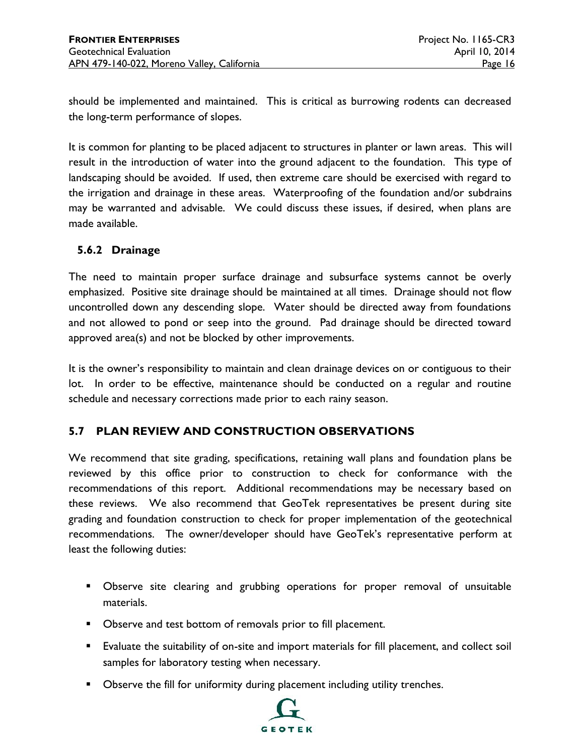should be implemented and maintained. This is critical as burrowing rodents can decreased the long-term performance of slopes.

It is common for planting to be placed adjacent to structures in planter or lawn areas. This will result in the introduction of water into the ground adjacent to the foundation. This type of landscaping should be avoided. If used, then extreme care should be exercised with regard to the irrigation and drainage in these areas. Waterproofing of the foundation and/or subdrains may be warranted and advisable. We could discuss these issues, if desired, when plans are made available.

## **5.6.2 Drainage**

The need to maintain proper surface drainage and subsurface systems cannot be overly emphasized. Positive site drainage should be maintained at all times. Drainage should not flow uncontrolled down any descending slope. Water should be directed away from foundations and not allowed to pond or seep into the ground. Pad drainage should be directed toward approved area(s) and not be blocked by other improvements.

It is the owner's responsibility to maintain and clean drainage devices on or contiguous to their lot. In order to be effective, maintenance should be conducted on a regular and routine schedule and necessary corrections made prior to each rainy season.

## **5.7 PLAN REVIEW AND CONSTRUCTION OBSERVATIONS**

We recommend that site grading, specifications, retaining wall plans and foundation plans be reviewed by this office prior to construction to check for conformance with the recommendations of this report. Additional recommendations may be necessary based on these reviews. We also recommend that GeoTek representatives be present during site grading and foundation construction to check for proper implementation of the geotechnical recommendations. The owner/developer should have GeoTek's representative perform at least the following duties:

- Observe site clearing and grubbing operations for proper removal of unsuitable materials.
- **Dbserve and test bottom of removals prior to fill placement.**
- Evaluate the suitability of on-site and import materials for fill placement, and collect soil samples for laboratory testing when necessary.
- **D**bserve the fill for uniformity during placement including utility trenches.

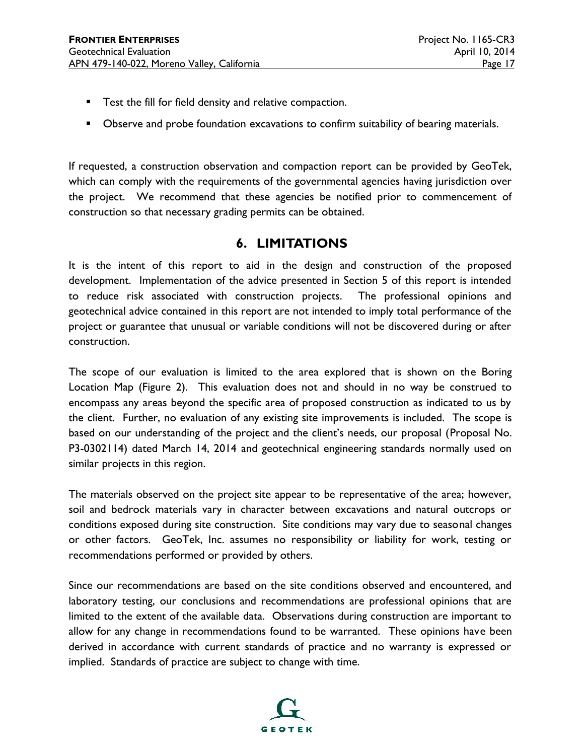- **Test the fill for field density and relative compaction.**
- **D**bserve and probe foundation excavations to confirm suitability of bearing materials.

If requested, a construction observation and compaction report can be provided by GeoTek, which can comply with the requirements of the governmental agencies having jurisdiction over the project. We recommend that these agencies be notified prior to commencement of construction so that necessary grading permits can be obtained.

## **6. LIMITATIONS**

It is the intent of this report to aid in the design and construction of the proposed development. Implementation of the advice presented in Section 5 of this report is intended to reduce risk associated with construction projects. The professional opinions and geotechnical advice contained in this report are not intended to imply total performance of the project or guarantee that unusual or variable conditions will not be discovered during or after construction.

The scope of our evaluation is limited to the area explored that is shown on the Boring Location Map (Figure 2). This evaluation does not and should in no way be construed to encompass any areas beyond the specific area of proposed construction as indicated to us by the client. Further, no evaluation of any existing site improvements is included. The scope is based on our understanding of the project and the client's needs, our proposal (Proposal No. P3-0302114) dated March 14, 2014 and geotechnical engineering standards normally used on similar projects in this region.

The materials observed on the project site appear to be representative of the area; however, soil and bedrock materials vary in character between excavations and natural outcrops or conditions exposed during site construction. Site conditions may vary due to seasonal changes or other factors. GeoTek, Inc. assumes no responsibility or liability for work, testing or recommendations performed or provided by others.

Since our recommendations are based on the site conditions observed and encountered, and laboratory testing, our conclusions and recommendations are professional opinions that are limited to the extent of the available data. Observations during construction are important to allow for any change in recommendations found to be warranted. These opinions have been derived in accordance with current standards of practice and no warranty is expressed or implied. Standards of practice are subject to change with time.

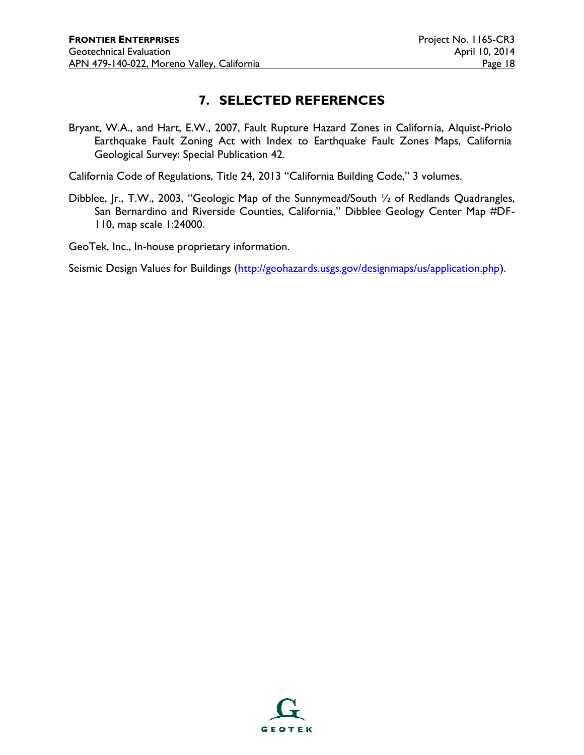## **7. SELECTED REFERENCES**

Bryant, W.A., and Hart, E.W., 2007, Fault Rupture Hazard Zones in California, Alquist-Priolo Earthquake Fault Zoning Act with Index to Earthquake Fault Zones Maps, California Geological Survey: Special Publication 42.

California Code of Regulations, Title 24, 2013 "California Building Code," 3 volumes.

Dibblee, Jr., T.W., 2003, "Geologic Map of the Sunnymead/South 1/2 of Redlands Quadrangles, San Bernardino and Riverside Counties, California," Dibblee Geology Center Map #DF- 110, map scale 1:24000.

GeoTek, Inc., In-house proprietary information.

Seismic Design Values for Buildings (http://geohazards.usgs.gov/designmaps/us/application.php).

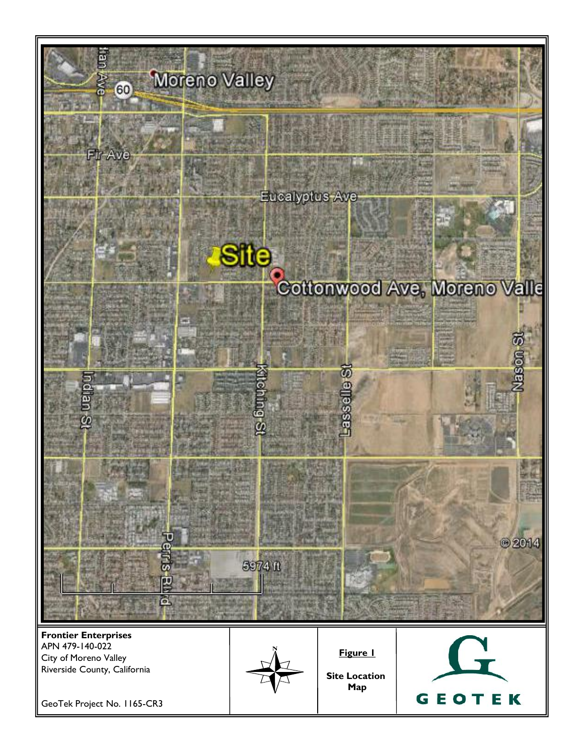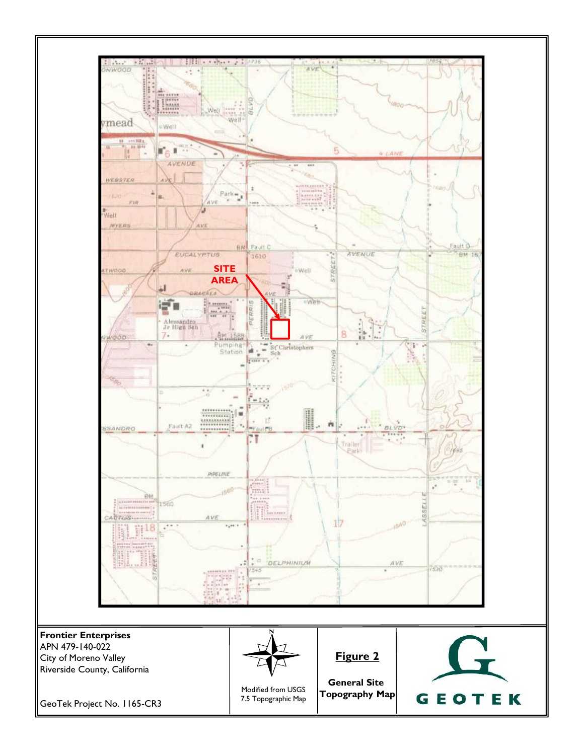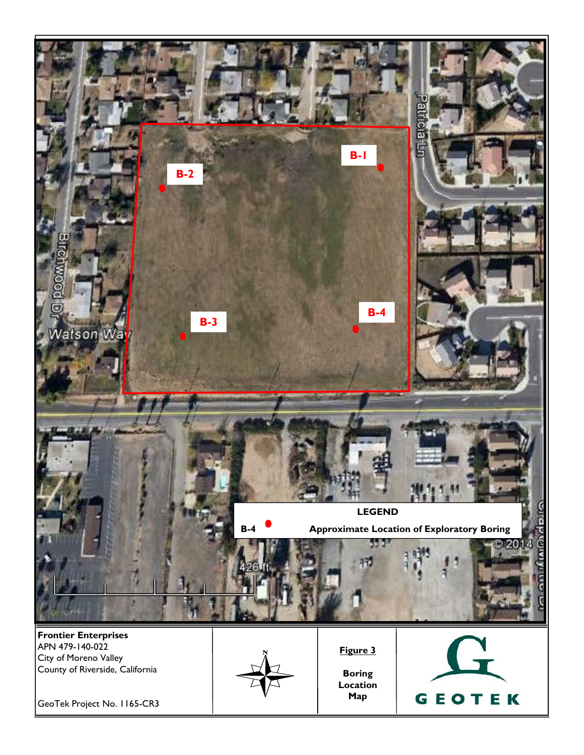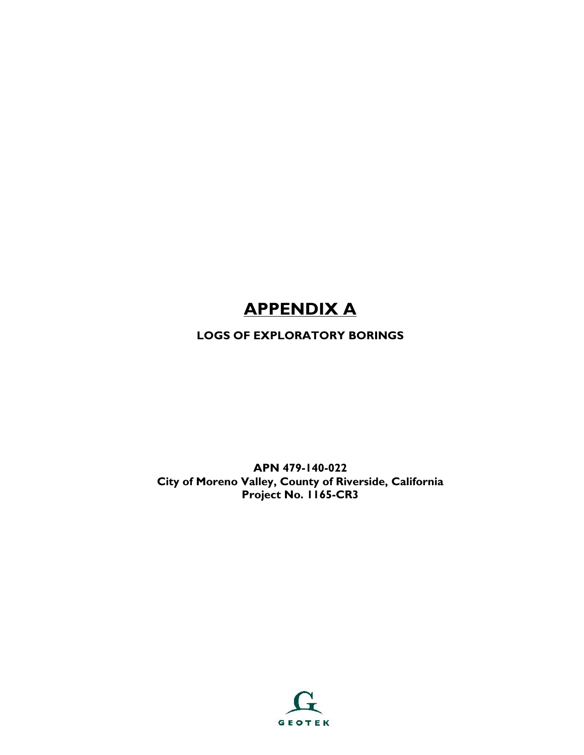# **APPENDIX A**

## **LOGS OF EXPLORATORY BORINGS**

**APN 479-140-022 City of Moreno Valley, County of Riverside, California Project No. 1165-CR3**

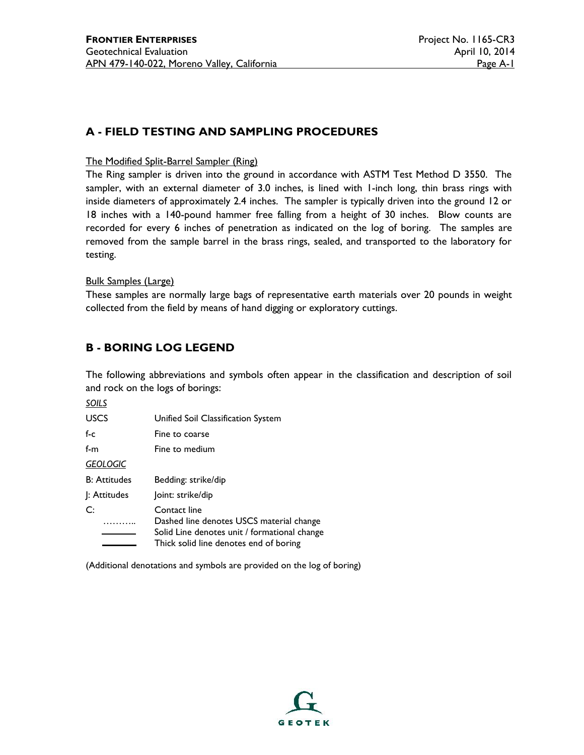## **A - FIELD TESTING AND SAMPLING PROCEDURES**

#### The Modified Split-Barrel Sampler (Ring)

The Ring sampler is driven into the ground in accordance with ASTM Test Method D 3550. The sampler, with an external diameter of 3.0 inches, is lined with 1-inch long, thin brass rings with inside diameters of approximately 2.4 inches. The sampler is typically driven into the ground 12 or 18 inches with a 140-pound hammer free falling from a height of 30 inches. Blow counts are recorded for every 6 inches of penetration as indicated on the log of boring. The samples are removed from the sample barrel in the brass rings, sealed, and transported to the laboratory for testing.

#### Bulk Samples (Large)

These samples are normally large bags of representative earth materials over 20 pounds in weight collected from the field by means of hand digging or exploratory cuttings.

#### **B - BORING LOG LEGEND**

The following abbreviations and symbols often appear in the classification and description of soil and rock on the logs of borings:

*SOILS*

| <b>USCS</b>         | Unified Soil Classification System                                                                                                                 |  |  |  |  |
|---------------------|----------------------------------------------------------------------------------------------------------------------------------------------------|--|--|--|--|
| f-c                 | Fine to coarse                                                                                                                                     |  |  |  |  |
| f-m                 | Fine to medium                                                                                                                                     |  |  |  |  |
| <b>GEOLOGIC</b>     |                                                                                                                                                    |  |  |  |  |
| <b>B: Attitudes</b> | Bedding: strike/dip                                                                                                                                |  |  |  |  |
| : Attitudes         | Joint: strike/dip                                                                                                                                  |  |  |  |  |
| C:                  | Contact line<br>Dashed line denotes USCS material change<br>Solid Line denotes unit / formational change<br>Thick solid line denotes end of boring |  |  |  |  |

(Additional denotations and symbols are provided on the log of boring)

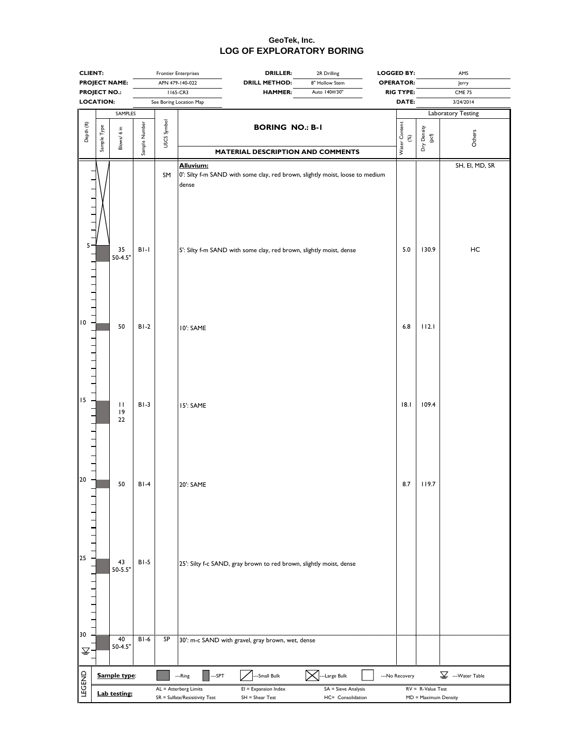|                               | <b>CLIENT:</b>       |                        | <b>Frontier Enterprises</b> |                                                                                                                                                    |                    | <b>DRILLER:</b><br>2R Drilling                                                |                | <b>LOGGED BY:</b>              |                      | AMS                                          |  |  |  |
|-------------------------------|----------------------|------------------------|-----------------------------|----------------------------------------------------------------------------------------------------------------------------------------------------|--------------------|-------------------------------------------------------------------------------|----------------|--------------------------------|----------------------|----------------------------------------------|--|--|--|
|                               | <b>PROJECT NAME:</b> |                        |                             | APN 479-140-022                                                                                                                                    |                    | <b>DRILL METHOD:</b>                                                          | 8" Hollow Stem | <b>OPERATOR:</b>               |                      | Jerry                                        |  |  |  |
| <b>PROJECT NO.:</b>           |                      |                        |                             | 1165-CR3                                                                                                                                           |                    | <b>HAMMER:</b>                                                                | Auto 140#/30"  | <b>RIG TYPE:</b>               |                      | <b>CME 75</b>                                |  |  |  |
|                               | <b>LOCATION:</b>     |                        |                             | See Boring Location Map                                                                                                                            |                    |                                                                               |                | DATE:                          |                      | 3/24/2014                                    |  |  |  |
|                               |                      | SAMPLES                |                             |                                                                                                                                                    |                    |                                                                               |                |                                |                      | Laboratory Testing                           |  |  |  |
| Depth (ft)                    | Sample Type          | $\frac{1}{6}$<br>Blows | Sample Number               | USCS Symbol                                                                                                                                        |                    | <b>BORING NO.: B-1</b><br>MATERIAL DESCRIPTION AND COMMENTS                   |                | Water Content<br>$\mathcal{C}$ | Dry Density<br>(pcf) | Others                                       |  |  |  |
|                               |                      |                        |                             | SM                                                                                                                                                 | Alluvium:<br>dense | 0': Silty f-m SAND with some clay, red brown, slightly moist, loose to medium |                |                                |                      | SH, El, MD, SR                               |  |  |  |
| 5                             |                      | 35<br>$50 - 4.5"$      | $BI-I$                      |                                                                                                                                                    |                    | 5': Silty f-m SAND with some clay, red brown, slightly moist, dense           |                | 5.0                            | 130.9                | HC                                           |  |  |  |
| 10                            |                      | 50                     | $BI-2$                      |                                                                                                                                                    | 10': SAME          |                                                                               |                | 6.8                            | 112.1                |                                              |  |  |  |
| 15                            |                      | П<br> 9<br>22          | $B1-3$                      |                                                                                                                                                    | <b>IS': SAME</b>   |                                                                               |                | 18.1                           | 109.4                |                                              |  |  |  |
| 20                            |                      | 50                     | $BI-4$                      |                                                                                                                                                    | 20': SAME          |                                                                               |                | 8.7                            | 119.7                |                                              |  |  |  |
| 25                            |                      | 43<br>$50 - 5.5"$      | $BI - 5$                    |                                                                                                                                                    |                    | 25': Silty f-c SAND, gray brown to red brown, slightly moist, dense           |                |                                |                      |                                              |  |  |  |
| 30<br>$\overline{\mathbb{Y}}$ |                      | 40<br>$50 - 4.5"$      | $BI-6$                      | SP                                                                                                                                                 |                    | 30': m-c SAND with gravel, gray brown, wet, dense                             |                |                                |                      |                                              |  |  |  |
|                               |                      | Sample type:           |                             |                                                                                                                                                    | --SPT<br>---Ring   | --Small Bulk                                                                  | --Large Bulk   | --- No Recovery                |                      | $\underline{\underline{\nabla}}$ Water Table |  |  |  |
| LEGEND                        |                      |                        |                             |                                                                                                                                                    |                    |                                                                               |                |                                |                      |                                              |  |  |  |
|                               |                      | Lab testing:           |                             | AL = Atterberg Limits<br>$EI = Expansion Index$<br>SA = Sieve Analysis<br>SR = Sulfate/Resisitivity Test<br>$SH = Shear Test$<br>HC= Consolidation |                    |                                                                               |                |                                |                      | $RV = R-Value Test$<br>MD = Maximum Density  |  |  |  |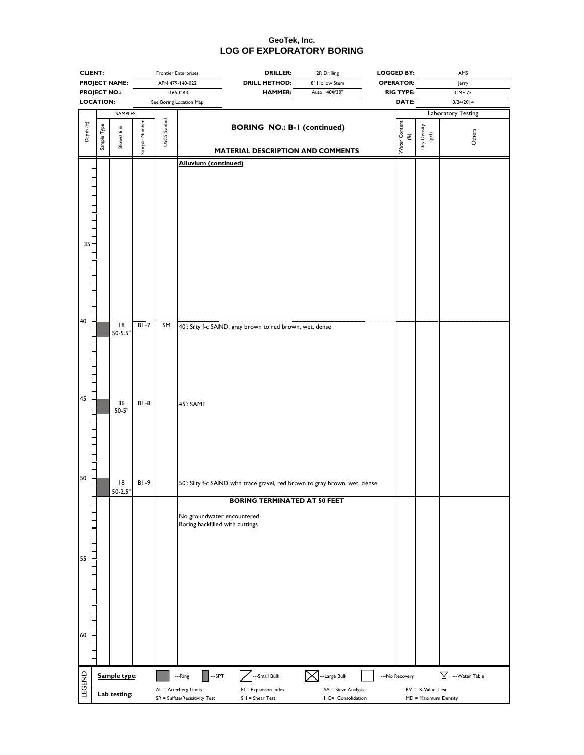| <b>CLIENT:</b>      |                      | <b>Frontier Enterprises</b>    |               |                 | <b>DRILLER:</b>                                               | 2R Drilling                                                                                                       | <b>LOGGED BY:</b>   | AMS                            |                                              |
|---------------------|----------------------|--------------------------------|---------------|-----------------|---------------------------------------------------------------|-------------------------------------------------------------------------------------------------------------------|---------------------|--------------------------------|----------------------------------------------|
|                     | <b>PROJECT NAME:</b> |                                |               | APN 479-140-022 |                                                               | <b>DRILL METHOD:</b>                                                                                              | 8" Hollow Stem      | <b>OPERATOR:</b>               | Jerry                                        |
|                     | <b>PROJECT NO.:</b>  |                                |               | 1165-CR3        |                                                               | <b>HAMMER:</b>                                                                                                    | Auto 140#/30"       | <b>RIG TYPE:</b>               | <b>CME 75</b>                                |
| <b>LOCATION:</b>    |                      |                                |               |                 | See Boring Location Map                                       |                                                                                                                   |                     | DATE:                          | 3/24/2014                                    |
|                     |                      | SAMPLES                        |               |                 |                                                               |                                                                                                                   |                     |                                | Laboratory Testing                           |
| Depth (ft)          | Sample Type          | Blows/ 6 in                    | Sample Number | USCS Symbol     |                                                               | <b>BORING NO.: B-1 (continued)</b><br>MATERIAL DESCRIPTION AND COMMENTS                                           |                     | Water Content<br>$\mathcal{E}$ | Dry Density<br>(pcf)<br>Others               |
|                     |                      |                                |               |                 | <b>Alluvium (continued)</b>                                   |                                                                                                                   |                     |                                |                                              |
| $35 -$              |                      |                                |               |                 |                                                               |                                                                                                                   |                     |                                |                                              |
| 40                  |                      | $\overline{18}$                | $BI - 7$      | SM              |                                                               |                                                                                                                   |                     |                                |                                              |
| 45                  |                      | $50 - 5.5"$<br>36<br>$50 - 5"$ | $B1-8$        |                 | 45': SAME                                                     | 40': Silty f-c SAND, gray brown to red brown, wet, dense                                                          |                     |                                |                                              |
| 50                  |                      | 18<br>$50-2.5"$                | $B1-9$        |                 |                                                               | 50': Silty f-c SAND with trace gravel, red brown to gray brown, wet, dense<br><b>BORING TERMINATED AT 50 FEET</b> |                     |                                |                                              |
| 55                  |                      |                                |               |                 | No groundwater encountered<br>Boring backfilled with cuttings |                                                                                                                   |                     |                                |                                              |
| $\frac{1}{1}$<br>60 |                      |                                |               |                 |                                                               |                                                                                                                   |                     |                                |                                              |
|                     |                      | Sample type:                   |               |                 | --SPT<br>---Ring                                              | -Small Bulk                                                                                                       | --Large Bulk        | --- No Recovery                | $\underline{\underline{\nabla}}$ Water Table |
| <b>LEGEND</b>       |                      |                                |               |                 | AL = Atterberg Limits                                         | $EI =$ Expansion Index                                                                                            | SA = Sieve Analysis |                                | $RV = R-Value Test$                          |
|                     |                      | <b>Lab testing:</b>            |               |                 | SR = Sulfate/Resisitivity Test                                | $SH = Shear Test$                                                                                                 | HC= Consolidation   |                                | MD = Maximum Density                         |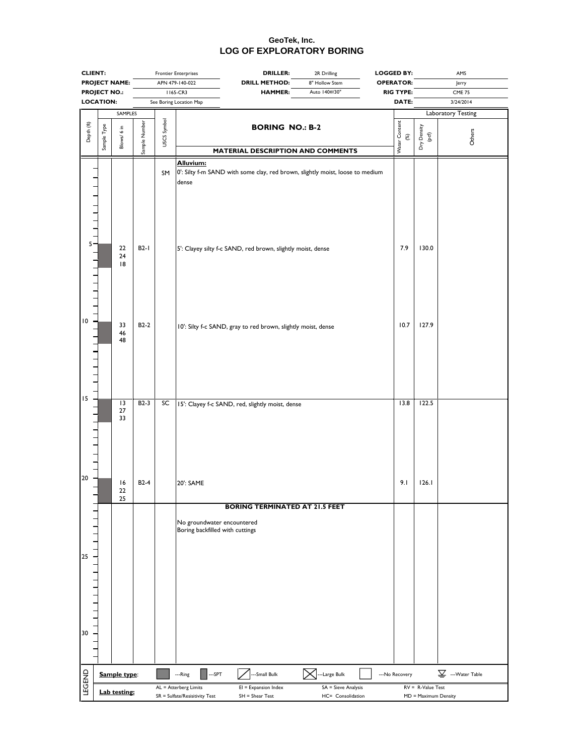|                                                                                                              | <b>CLIENT:</b>                          |                             |               |             | <b>DRILLER:</b><br><b>Frontier Enterprises</b>                                                                                                                     | 2R Drilling                              | <b>LOGGED BY:</b>    |                                             | AMS                                          |
|--------------------------------------------------------------------------------------------------------------|-----------------------------------------|-----------------------------|---------------|-------------|--------------------------------------------------------------------------------------------------------------------------------------------------------------------|------------------------------------------|----------------------|---------------------------------------------|----------------------------------------------|
|                                                                                                              | <b>PROJECT NAME:</b>                    |                             |               |             | APN 479-140-022<br><b>DRILL METHOD:</b>                                                                                                                            | 8" Hollow Stem                           | <b>OPERATOR:</b>     |                                             | Jerry                                        |
|                                                                                                              | <b>PROJECT NO.:</b><br><b>LOCATION:</b> |                             |               |             | 1165-CR3<br><b>HAMMER:</b>                                                                                                                                         | Auto 140#/30"                            | <b>RIG TYPE:</b>     |                                             | <b>CME 75</b>                                |
|                                                                                                              |                                         |                             |               |             | See Boring Location Map                                                                                                                                            |                                          | DATE:                |                                             | 3/24/2014                                    |
|                                                                                                              |                                         | SAMPLES                     |               |             |                                                                                                                                                                    |                                          |                      |                                             | Laboratory Testing                           |
| Depth (ft)                                                                                                   | Sample Type                             | Blows/6 in                  | Sample Number | USCS Symbol | <b>BORING NO.: B-2</b><br>MATERIAL DESCRIPTION AND COMMENTS                                                                                                        |                                          | Water Content<br>(%) | Dry Density<br>(pcf)                        | Others                                       |
|                                                                                                              |                                         | 22<br>$24$                  | $B2-I$        | SM          | Alluvium:<br>0': Silty f-m SAND with some clay, red brown, slightly moist, loose to medium<br>dense<br>5': Clayey silty f-c SAND, red brown, slightly moist, dense |                                          | 7.9                  | 130.0                                       |                                              |
| 10<br>$\begin{array}{c} \begin{array}{c} \text{1} & \text{1} \\ \text{1} & \text{1} \end{array} \end{array}$ |                                         | 18<br>33<br>46<br>48        | $B2-2$        |             | 10': Silty f-c SAND, gray to red brown, slightly moist, dense                                                                                                      |                                          | 10.7                 | 127.9                                       |                                              |
| 15<br>$\frac{1}{1}$                                                                                          |                                         | $\overline{13}$<br>27<br>33 | $B2-3$        | SC          | 15': Clayey f-c SAND, red, slightly moist, dense                                                                                                                   |                                          | 13.8                 | 122.5                                       |                                              |
| 20                                                                                                           |                                         | 16<br>22<br>25              | $B2-4$        |             | 20': SAME                                                                                                                                                          |                                          | 9.1                  | 126.1                                       |                                              |
| 25<br>30                                                                                                     |                                         |                             |               |             | <b>BORING TERMINATED AT 21.5 FEET</b><br>No groundwater encountered<br>Boring backfilled with cuttings                                                             |                                          |                      |                                             |                                              |
|                                                                                                              |                                         | Sample type:                |               |             | --SPT<br>-Small Bulk<br>---Ring                                                                                                                                    | -Large Bulk                              | --- No Recovery      |                                             | $\underline{\underline{\nabla}}$ Water Table |
| <b>LEGEND</b>                                                                                                |                                         |                             |               |             |                                                                                                                                                                    |                                          |                      |                                             |                                              |
|                                                                                                              | Lab testing:                            |                             |               |             | AL = Atterberg Limits<br>$EI =$ Expansion Index<br>SR = Sulfate/Resisitivity Test<br>$SH = Shear Test$                                                             | SA = Sieve Analysis<br>HC= Consolidation |                      | $RV = R-Value Test$<br>MD = Maximum Density |                                              |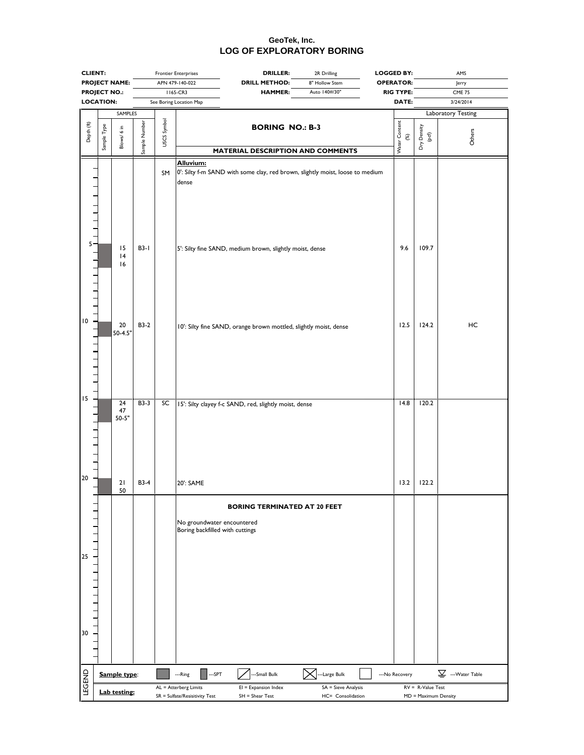|                                                                                                                                                             | <b>CLIENT:</b>       |                                          |                     |             | <b>Frontier Enterprises</b>                                                                                                                                     | <b>DRILLER:</b><br><b>LOGGED BY:</b><br>2R Drilling |                      | AMS                  |                                              |
|-------------------------------------------------------------------------------------------------------------------------------------------------------------|----------------------|------------------------------------------|---------------------|-------------|-----------------------------------------------------------------------------------------------------------------------------------------------------------------|-----------------------------------------------------|----------------------|----------------------|----------------------------------------------|
|                                                                                                                                                             | <b>PROJECT NAME:</b> |                                          |                     |             | APN 479-140-022<br><b>DRILL METHOD:</b>                                                                                                                         | 8" Hollow Stem                                      |                      | Jerry                |                                              |
| <b>PROJECT NO.:</b>                                                                                                                                         |                      |                                          |                     |             | 1165-CR3<br><b>HAMMER:</b>                                                                                                                                      | Auto 140#/30"                                       | <b>RIG TYPE:</b>     |                      | <b>CME 75</b>                                |
| <b>LOCATION:</b>                                                                                                                                            |                      |                                          |                     |             | See Boring Location Map                                                                                                                                         |                                                     | DATE:                |                      | 3/24/2014                                    |
|                                                                                                                                                             |                      | SAMPLES                                  |                     |             |                                                                                                                                                                 |                                                     |                      |                      | Laboratory Testing                           |
| Depth (ft)                                                                                                                                                  | Sample Type          | Blows/6 in                               | Sample Number       | USCS Symbol | <b>BORING NO.: B-3</b><br><b>MATERIAL DESCRIPTION AND COMMENTS</b>                                                                                              |                                                     | Water Content<br>(%) | Dry Density<br>(pcf) | Others                                       |
| <u> 1 1 1 1 1 1 1 ° 1 1 1 1 1 1 1 1 1</u>                                                                                                                   |                      | 15<br> 4<br>16                           | $B3-I$              | SM          | Alluvium:<br>0': Silty f-m SAND with some clay, red brown, slightly moist, loose to medium<br>dense<br>5': Silty fine SAND, medium brown, slightly moist, dense |                                                     | 9.6                  | 109.7                |                                              |
| 10<br>$\begin{array}{c} \begin{array}{c} \text{1} & \text{1} & \text{1} & \text{1} \\ \text{1} & \text{1} & \text{1} & \text{1} \\ \end{array} \end{array}$ |                      | 20<br>$50 - 4.5"$                        | <b>B3-2</b>         |             | 10': Silty fine SAND, orange brown mottled, slightly moist, dense                                                                                               |                                                     | 12.5                 | 124.2                | HC                                           |
| 15<br>$\begin{array}{c} \n\text{1} & \text{1} & \text{1} \\ \end{array}$<br>20                                                                              |                      | $\overline{24}$<br>47<br>$50 - 5"$<br>21 | B3-3<br><b>B3-4</b> | SC          | 15': Silty clayey f-c SAND, red, slightly moist, dense<br>20': SAME                                                                                             |                                                     | 14.8<br>13.2         | 120.2<br>122.2       |                                              |
|                                                                                                                                                             |                      | 50                                       |                     |             |                                                                                                                                                                 |                                                     |                      |                      |                                              |
| 25<br>$1 - 1 - 1 - 1 - 1 - 1$<br>30                                                                                                                         |                      |                                          |                     |             | <b>BORING TERMINATED AT 20 FEET</b><br>No groundwater encountered<br>Boring backfilled with cuttings                                                            |                                                     |                      |                      |                                              |
|                                                                                                                                                             |                      |                                          |                     |             |                                                                                                                                                                 |                                                     |                      |                      | $\underline{\underline{\nabla}}$ Water Table |
|                                                                                                                                                             |                      | Sample type:                             |                     |             | --SPT<br>-Small Bulk<br>---Ring                                                                                                                                 | -Large Bulk                                         | --- No Recovery      |                      |                                              |
| <b>LEGEND</b>                                                                                                                                               |                      | Lab testing:                             |                     |             | AL = Atterberg Limits<br>$EI =$ Expansion Index                                                                                                                 | SA = Sieve Analysis                                 |                      | $RV = R-Value Test$  |                                              |
|                                                                                                                                                             |                      |                                          |                     |             | SR = Sulfate/Resisitivity Test<br>$SH = Shear Test$                                                                                                             | HC= Consolidation                                   |                      | MD = Maximum Density |                                              |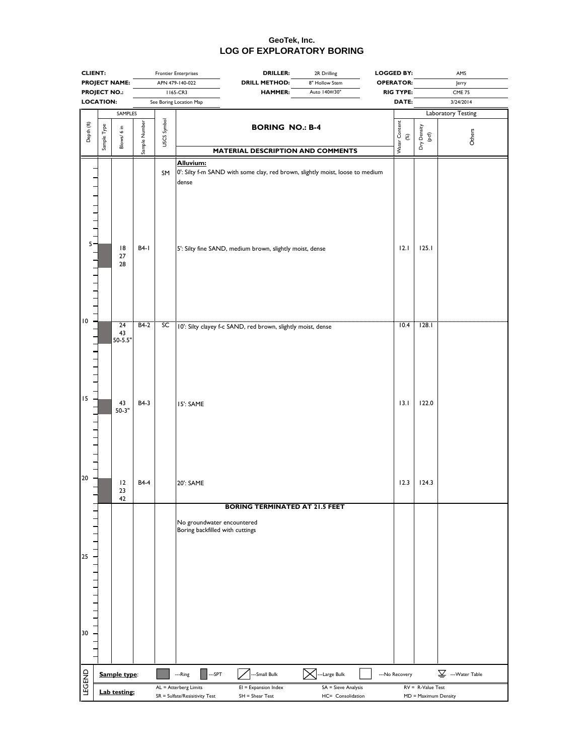|                                          | <b>CLIENT:</b>       |                         |               | <b>Frontier Enterprises</b> |                                                               | <b>DRILLER:</b>                                                                                                                           | 2R Drilling                              | <b>LOGGED BY:</b>    |                                             | AMS                                          |  |
|------------------------------------------|----------------------|-------------------------|---------------|-----------------------------|---------------------------------------------------------------|-------------------------------------------------------------------------------------------------------------------------------------------|------------------------------------------|----------------------|---------------------------------------------|----------------------------------------------|--|
|                                          | <b>PROJECT NAME:</b> |                         |               | APN 479-140-022             |                                                               | <b>DRILL METHOD:</b>                                                                                                                      | 8" Hollow Stem                           | <b>OPERATOR:</b>     |                                             | Jerry                                        |  |
|                                          | <b>PROJECT NO.:</b>  |                         |               |                             | 1165-CR3                                                      | <b>HAMMER:</b>                                                                                                                            | Auto 140#/30"                            | <b>RIG TYPE:</b>     |                                             | <b>CME 75</b>                                |  |
|                                          | <b>LOCATION:</b>     |                         |               |                             | See Boring Location Map                                       |                                                                                                                                           |                                          | DATE:                |                                             | 3/24/2014                                    |  |
|                                          |                      | SAMPLES                 |               |                             |                                                               |                                                                                                                                           |                                          |                      |                                             | Laboratory Testing                           |  |
| Depth (ft)                               | Sample Type          | Blows/6 in              | Sample Number | USCS Symbol                 |                                                               | <b>BORING NO.: B-4</b><br>MATERIAL DESCRIPTION AND COMMENTS                                                                               |                                          | Water Content<br>(%) | Dry Density<br>(pcf)                        | Others                                       |  |
|                                          |                      | 18<br>$27\,$            | B4-1          | SM                          | Alluvium:<br>dense                                            | 0': Silty f-m SAND with some clay, red brown, slightly moist, loose to medium<br>5': Silty fine SAND, medium brown, slightly moist, dense |                                          | 12.1                 | 125.1                                       |                                              |  |
| 10                                       |                      | 28<br>$\overline{24}$   | $B4-2$        | SC                          |                                                               | 10': Silty clayey f-c SAND, red brown, slightly moist, dense                                                                              |                                          | 10.4                 | 128.1                                       |                                              |  |
| $\begin{array}{ccc} \n\end{array}$<br>15 |                      | 43<br>$50 - 5.5"$<br>43 | B4-3          |                             |                                                               |                                                                                                                                           |                                          | 13.1                 | 122.0                                       |                                              |  |
| 1111<br>20                               |                      | $50-3"$                 |               |                             | 15': SAME                                                     |                                                                                                                                           |                                          |                      |                                             |                                              |  |
|                                          |                      | 12<br>23<br>42          | <b>B4-4</b>   |                             | 20': SAME                                                     |                                                                                                                                           |                                          | 12.3                 | 124.3                                       |                                              |  |
|                                          |                      |                         |               |                             | No groundwater encountered<br>Boring backfilled with cuttings | <b>BORING TERMINATED AT 21.5 FEET</b>                                                                                                     |                                          |                      |                                             |                                              |  |
| 25<br>1111111<br>30                      |                      |                         |               |                             |                                                               |                                                                                                                                           |                                          |                      |                                             |                                              |  |
|                                          |                      | Sample type:            |               |                             | ---SPT<br>---Ring                                             | -Small Bulk                                                                                                                               | -Large Bulk                              | --- No Recovery      |                                             | $\underline{\underline{\nabla}}$ Water Table |  |
| <b>LEGEND</b>                            |                      |                         |               |                             |                                                               |                                                                                                                                           |                                          |                      |                                             |                                              |  |
|                                          |                      | Lab testing:            |               |                             | AL = Atterberg Limits<br>SR = Sulfate/Resisitivity Test       | $EI =$ Expansion Index<br>$SH = Shear Test$                                                                                               | SA = Sieve Analysis<br>HC= Consolidation |                      | $RV = R-Value Test$<br>MD = Maximum Density |                                              |  |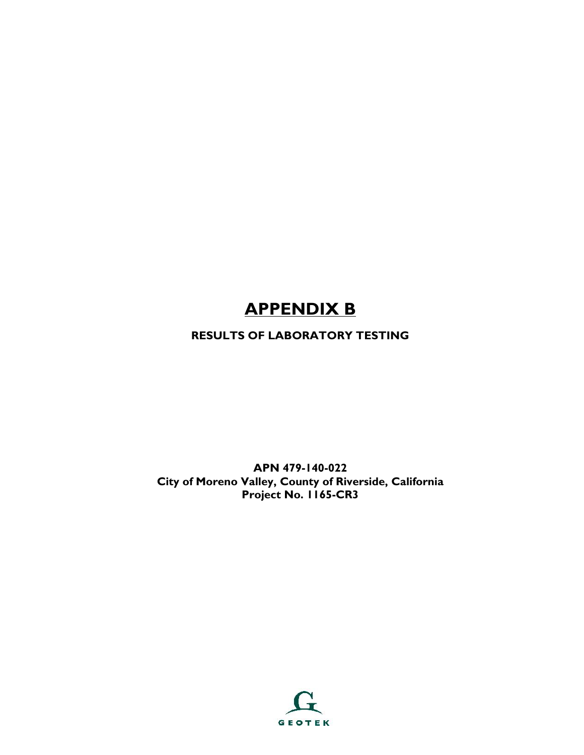# **APPENDIX B**

## **RESULTS OF LABORATORY TESTING**

**APN 479-140-022 City of Moreno Valley, County of Riverside, California Project No. 1165-CR3**

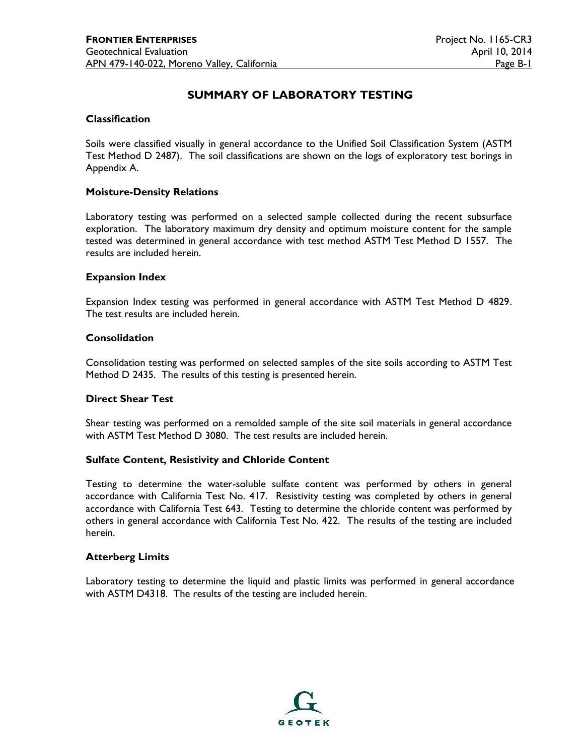## **SUMMARY OF LABORATORY TESTING**

#### **Classification**

Soils were classified visually in general accordance to the Unified Soil Classification System (ASTM Test Method D 2487). The soil classifications are shown on the logs of exploratory test borings in Appendix A.

#### **Moisture-Density Relations**

Laboratory testing was performed on a selected sample collected during the recent subsurface exploration. The laboratory maximum dry density and optimum moisture content for the sample tested was determined in general accordance with test method ASTM Test Method D 1557. The results are included herein.

#### **Expansion Index**

Expansion Index testing was performed in general accordance with ASTM Test Method D 4829. The test results are included herein.

#### **Consolidation**

Consolidation testing was performed on selected samples of the site soils according to ASTM Test Method D 2435. The results of this testing is presented herein.

#### **Direct Shear Test**

Shear testing was performed on a remolded sample of the site soil materials in general accordance with ASTM Test Method D 3080. The test results are included herein.

#### **Sulfate Content, Resistivity and Chloride Content**

Testing to determine the water-soluble sulfate content was performed by others in general accordance with California Test No. 417. Resistivity testing was completed by others in general accordance with California Test 643. Testing to determine the chloride content was performed by others in general accordance with California Test No. 422. The results of the testing are included herein.

#### **Atterberg Limits**

Laboratory testing to determine the liquid and plastic limits was performed in general accordance with ASTM D4318. The results of the testing are included herein.

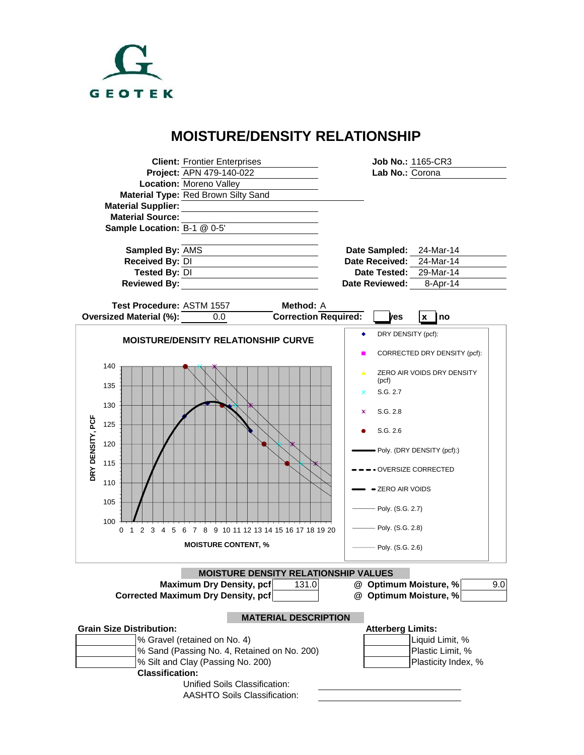

## **MOISTURE/DENSITY RELATIONSHIP**

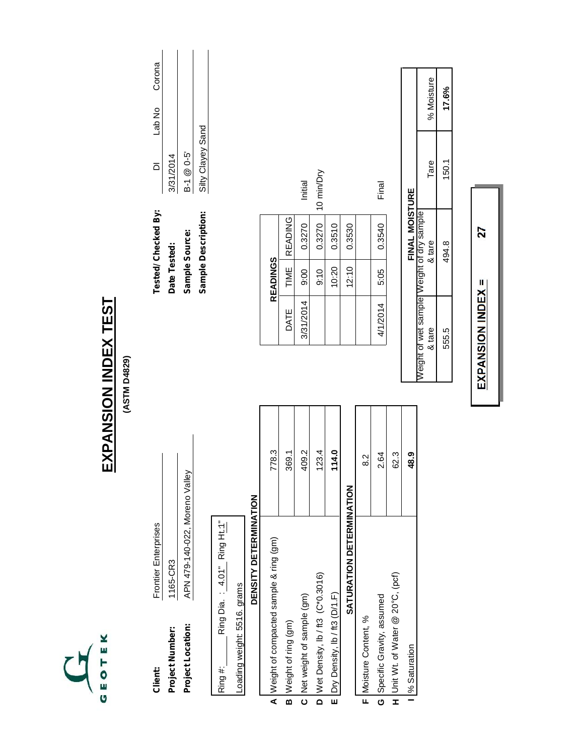# **EXPANSION INDEX TEST** EXPANSION INDEX TEST

**(ASTM D4829)** (ASTM D4829)

| Client           | Frontier Enterprises           |
|------------------|--------------------------------|
| Project Number   | 1165-CR3                       |
| Project Location | APN 479-140-022, Moreno Valley |

| ׀׃֦<br>ر<br>H   |  |
|-----------------|--|
| Ring            |  |
| 4.01"           |  |
|                 |  |
| <b>Ring Dia</b> |  |
|                 |  |
|                 |  |
|                 |  |
| ina             |  |

| angme               | ֚֘֒<br>֧֪֧֧֧֧֧֧֧֧֦֧֧֧֧֧֧֧֧֧֧֧֪֧֚֚֚֚֚֚֚֚֚֚֚֚֚֘֝֘֝֬֝֓֝֬֝֬֝֓֝֬֝֓֝֬֜֓֝֬֝֬֝֬֝֬֝֬֝֬֝֬֝֬֝֬֝֬֝֬<br>l<br>i<br>$\frac{1}{1}$<br>י<br>י<br><b>PHOTOL</b> |
|---------------------|-----------------------------------------------------------------------------------------------------------------------------------------------|
| ht: 5516.<br>・てらてしい |                                                                                                                                               |

| A Weight of compacted sample & ring (gm) | 778.3  |
|------------------------------------------|--------|
| B Weight of ring (gm)                    | 369.1  |
| C Net weight of sample (gm)              | 409.2  |
| D Wet Density, lb / ft3 (C*0.3016)       | 123.4  |
| E Dry Density, lb / ft3 (D/1.F)          | 114.0  |
| <b>SATURATION DETERMINATION</b>          |        |
| F Moisture Content, %                    | .<br>ಜ |
|                                          |        |

| <b>Tested/Checked By:</b> |                   | Lab No Corona |  |
|---------------------------|-------------------|---------------|--|
| Date Tested:              | 3/31/2014         |               |  |
| Sample Source:            | $B-1 \ @ 0-5$     |               |  |
| Sample Description:       | Silty Clayey Sand |               |  |
|                           |                   |               |  |

Corona

|                 |                | Initial   | 10 min/Dry |        |        | Final    |  |
|-----------------|----------------|-----------|------------|--------|--------|----------|--|
|                 | <b>READING</b> | 0.3270    | 0.3270     | 0.3510 | 0.3530 | 0.3540   |  |
| <b>READINGS</b> | TIME           | 00.6      | 0.10       | 10:20  | 12:10  | 5.05     |  |
|                 | DATE           | 3/31/2014 |            |        |        | 4/1/2014 |  |

|                |                                          | % Moisture | 17.6% |
|----------------|------------------------------------------|------------|-------|
|                |                                          | Tare       | 150.1 |
| FINAL MOISTURE | eight of wet sample Weight of dry sample | & tare     | 494.8 |
|                |                                          | & tare     | 555.5 |

| n7                                                          |
|-------------------------------------------------------------|
| ì<br>I<br>ı<br>$\ddot{ }$<br>$\ddot{\phantom{a}}$<br>Ī<br>ļ |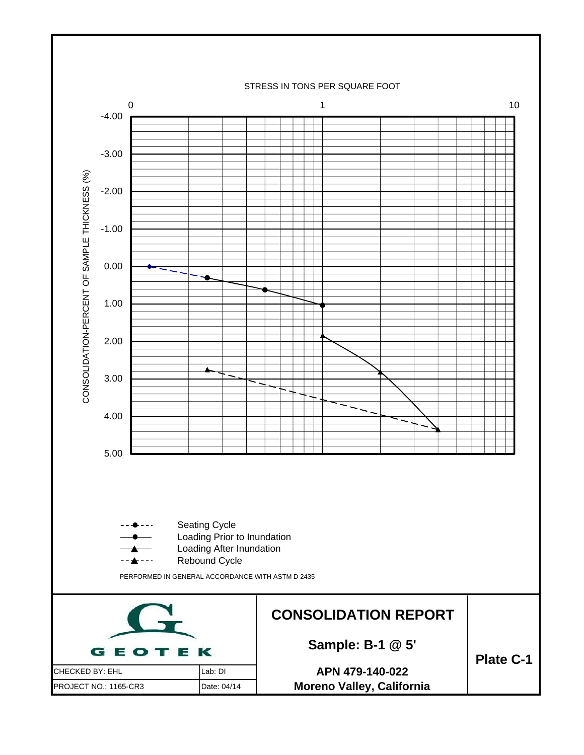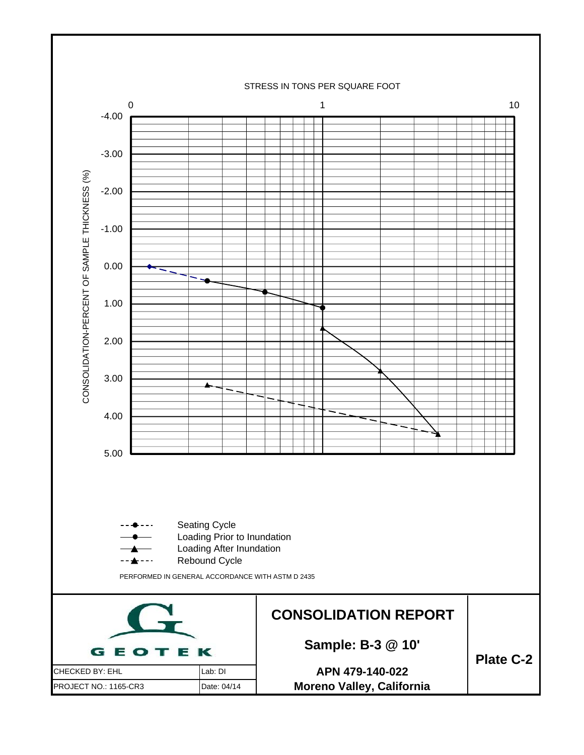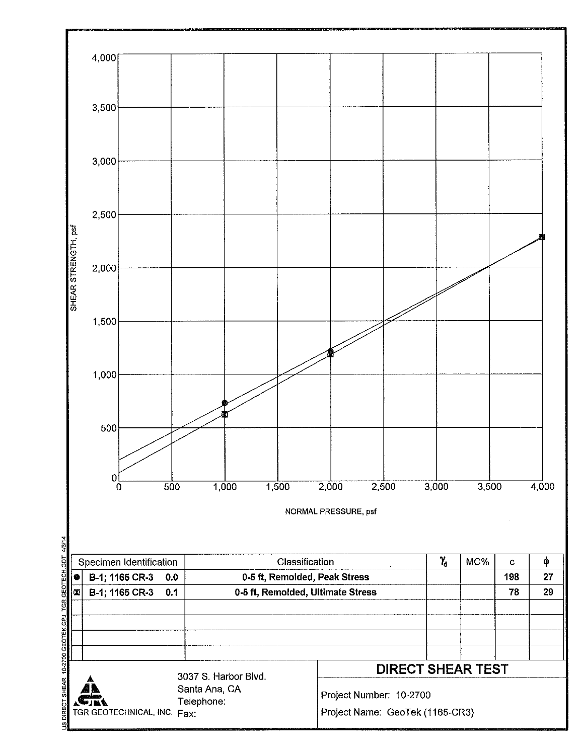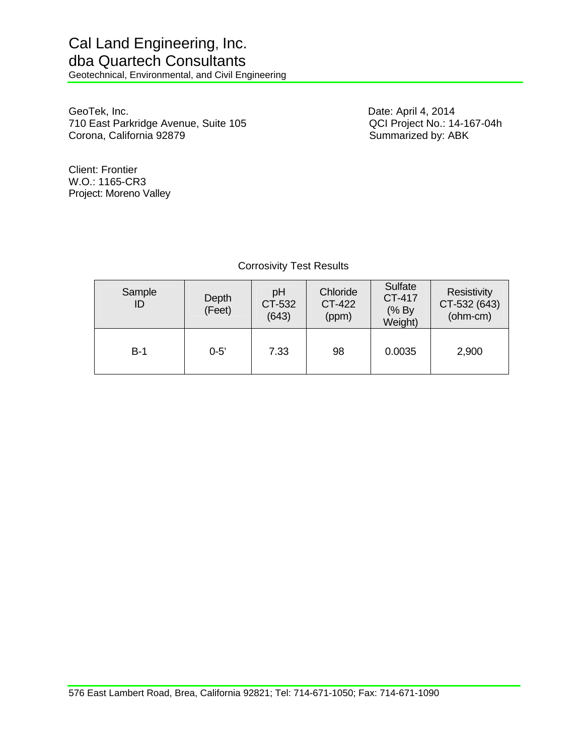Geotechnical, Environmental, and Civil Engineering

GeoTek, Inc. Date: April 4, 2014 710 East Parkridge Avenue, Suite 105 <br>Corona, California 92879 <br>Summarized by: ABK Corona, California 92879

Client: Frontier W.O.: 1165-CR3 Project: Moreno Valley

## Corrosivity Test Results

| Sample<br>ID | Depth<br>(Feet) | pH<br>CT-532<br>(643) | Chloride<br>CT-422<br>(ppm) | Sulfate<br>CT-417<br>(% By<br>Weight) | Resistivity<br>CT-532 (643)<br>(ohm-cm) |
|--------------|-----------------|-----------------------|-----------------------------|---------------------------------------|-----------------------------------------|
| $B-1$        | $0 - 5'$        | 7.33                  | 98                          | 0.0035                                | 2,900                                   |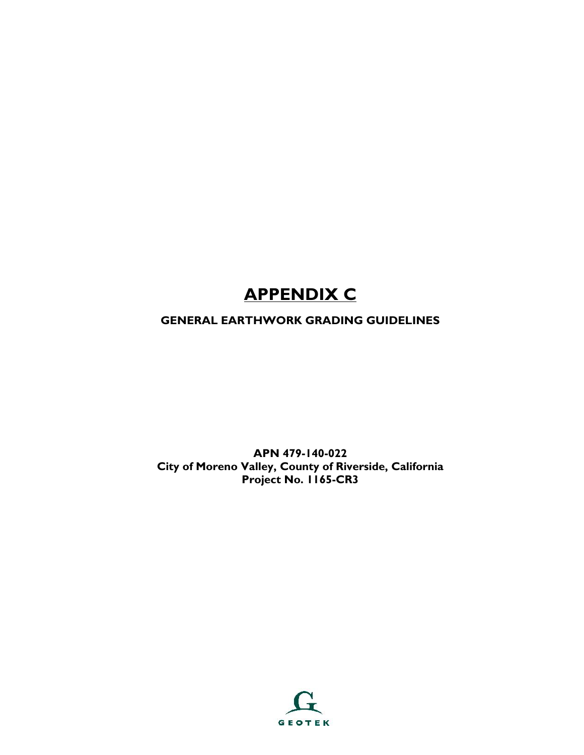# **APPENDIX C**

## **GENERAL EARTHWORK GRADING GUIDELINES**

**APN 479-140-022 City of Moreno Valley, County of Riverside, California Project No. 1165-CR3**

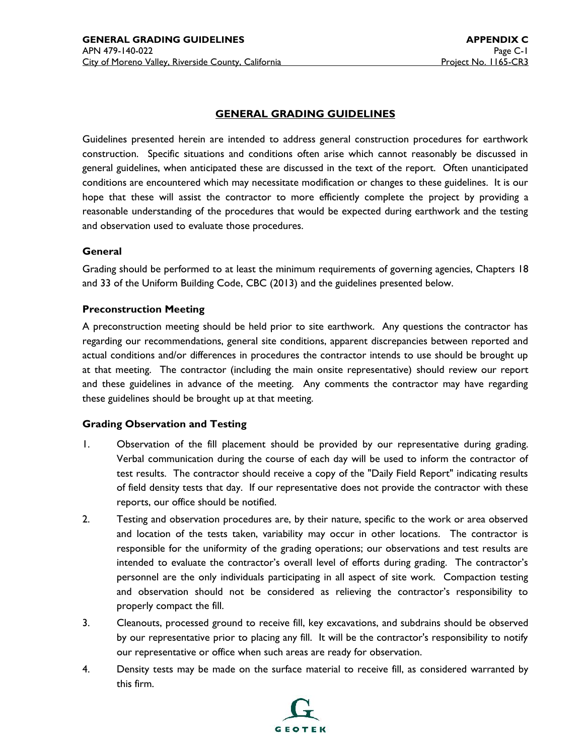#### **GENERAL GRADING GUIDELINES**

Guidelines presented herein are intended to address general construction procedures for earthwork construction. Specific situations and conditions often arise which cannot reasonably be discussed in general guidelines, when anticipated these are discussed in the text of the report. Often unanticipated conditions are encountered which may necessitate modification or changes to these guidelines. It is our hope that these will assist the contractor to more efficiently complete the project by providing a reasonable understanding of the procedures that would be expected during earthwork and the testing and observation used to evaluate those procedures.

#### **General**

Grading should be performed to at least the minimum requirements of governing agencies, Chapters 18 and 33 of the Uniform Building Code, CBC (2013) and the guidelines presented below.

#### **Preconstruction Meeting**

A preconstruction meeting should be held prior to site earthwork. Any questions the contractor has regarding our recommendations, general site conditions, apparent discrepancies between reported and actual conditions and/or differences in procedures the contractor intends to use should be brought up at that meeting. The contractor (including the main onsite representative) should review our report and these guidelines in advance of the meeting. Any comments the contractor may have regarding these guidelines should be brought up at that meeting.

#### **Grading Observation and Testing**

- 1. Observation of the fill placement should be provided by our representative during grading. Verbal communication during the course of each day will be used to inform the contractor of test results. The contractor should receive a copy of the "Daily Field Report" indicating results of field density tests that day. If our representative does not provide the contractor with these reports, our office should be notified.
- 2. Testing and observation procedures are, by their nature, specific to the work or area observed and location of the tests taken, variability may occur in other locations. The contractor is responsible for the uniformity of the grading operations; our observations and test results are intended to evaluate the contractor's overall level of efforts during grading. The contractor's personnel are the only individuals participating in all aspect of site work. Compaction testing and observation should not be considered as relieving the contractor's responsibility to properly compact the fill.
- 3. Cleanouts, processed ground to receive fill, key excavations, and subdrains should be observed by our representative prior to placing any fill. It will be the contractor's responsibility to notify our representative or office when such areas are ready for observation.
- 4. Density tests may be made on the surface material to receive fill, as considered warranted by this firm.

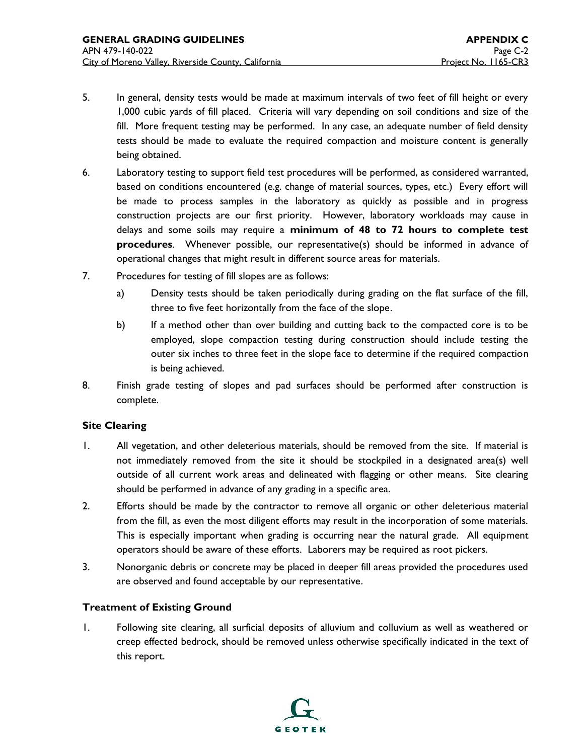- 5. In general, density tests would be made at maximum intervals of two feet of fill height or every 1,000 cubic yards of fill placed. Criteria will vary depending on soil conditions and size of the fill. More frequent testing may be performed. In any case, an adequate number of field density tests should be made to evaluate the required compaction and moisture content is generally being obtained.
- 6. Laboratory testing to support field test procedures will be performed, as considered warranted, based on conditions encountered (e.g. change of material sources, types, etc.) Every effort will be made to process samples in the laboratory as quickly as possible and in progress construction projects are our first priority. However, laboratory workloads may cause in delays and some soils may require a **minimum of 48 to 72 hours to complete test procedures**. Whenever possible, our representative(s) should be informed in advance of operational changes that might result in different source areas for materials.
- 7. Procedures for testing of fill slopes are as follows:
	- a) Density tests should be taken periodically during grading on the flat surface of the fill, three to five feet horizontally from the face of the slope.
	- b) If a method other than over building and cutting back to the compacted core is to be employed, slope compaction testing during construction should include testing the outer six inches to three feet in the slope face to determine if the required compaction is being achieved.
- 8. Finish grade testing of slopes and pad surfaces should be performed after construction is complete.

#### **Site Clearing**

- 1. All vegetation, and other deleterious materials, should be removed from the site. If material is not immediately removed from the site it should be stockpiled in a designated area(s) well outside of all current work areas and delineated with flagging or other means. Site clearing should be performed in advance of any grading in a specific area.
- 2. Efforts should be made by the contractor to remove all organic or other deleterious material from the fill, as even the most diligent efforts may result in the incorporation of some materials. This is especially important when grading is occurring near the natural grade. All equipment operators should be aware of these efforts. Laborers may be required as root pickers.
- 3. Nonorganic debris or concrete may be placed in deeper fill areas provided the procedures used are observed and found acceptable by our representative.

#### **Treatment of Existing Ground**

1. Following site clearing, all surficial deposits of alluvium and colluvium as well as weathered or creep effected bedrock, should be removed unless otherwise specifically indicated in the text of this report.

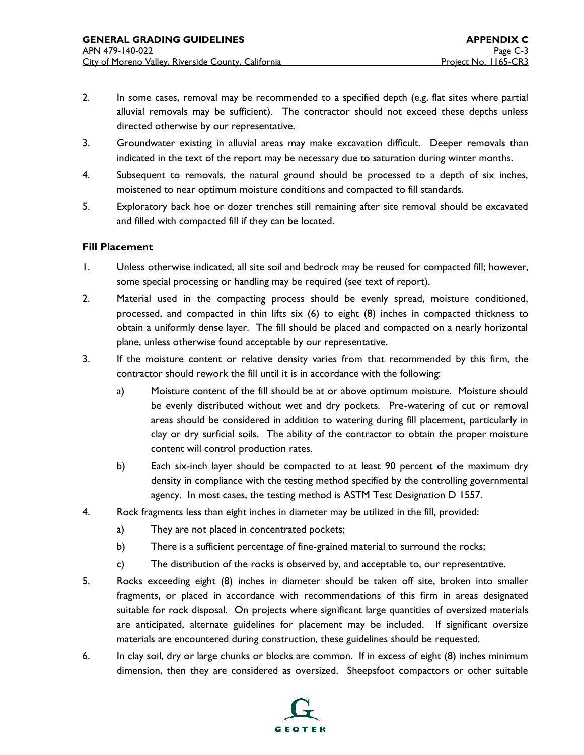- 2. In some cases, removal may be recommended to a specified depth (e.g. flat sites where partial alluvial removals may be sufficient). The contractor should not exceed these depths unless directed otherwise by our representative.
- 3. Groundwater existing in alluvial areas may make excavation difficult. Deeper removals than indicated in the text of the report may be necessary due to saturation during winter months.
- 4. Subsequent to removals, the natural ground should be processed to a depth of six inches, moistened to near optimum moisture conditions and compacted to fill standards.
- 5. Exploratory back hoe or dozer trenches still remaining after site removal should be excavated and filled with compacted fill if they can be located.

#### **Fill Placement**

- 1. Unless otherwise indicated, all site soil and bedrock may be reused for compacted fill; however, some special processing or handling may be required (see text of report).
- 2. Material used in the compacting process should be evenly spread, moisture conditioned, processed, and compacted in thin lifts six (6) to eight (8) inches in compacted thickness to obtain a uniformly dense layer. The fill should be placed and compacted on a nearly horizontal plane, unless otherwise found acceptable by our representative.
- 3. If the moisture content or relative density varies from that recommended by this firm, the contractor should rework the fill until it is in accordance with the following:
	- a) Moisture content of the fill should be at or above optimum moisture. Moisture should be evenly distributed without wet and dry pockets. Pre-watering of cut or removal areas should be considered in addition to watering during fill placement, particularly in clay or dry surficial soils. The ability of the contractor to obtain the proper moisture content will control production rates.
	- b) Each six-inch layer should be compacted to at least 90 percent of the maximum dry density in compliance with the testing method specified by the controlling governmental agency. In most cases, the testing method is ASTM Test Designation D 1557.
- 4. Rock fragments less than eight inches in diameter may be utilized in the fill, provided:
	- a) They are not placed in concentrated pockets;
	- b) There is a sufficient percentage of fine-grained material to surround the rocks;
	- c) The distribution of the rocks is observed by, and acceptable to, our representative.
- 5. Rocks exceeding eight (8) inches in diameter should be taken off site, broken into smaller fragments, or placed in accordance with recommendations of this firm in areas designated suitable for rock disposal. On projects where significant large quantities of oversized materials are anticipated, alternate guidelines for placement may be included. If significant oversize materials are encountered during construction, these guidelines should be requested.
- 6. In clay soil, dry or large chunks or blocks are common. If in excess of eight (8) inches minimum dimension, then they are considered as oversized. Sheepsfoot compactors or other suitable

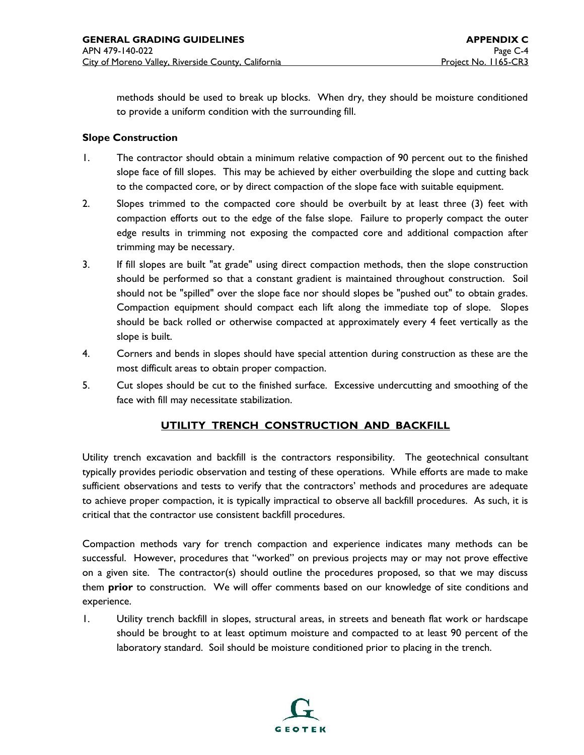methods should be used to break up blocks. When dry, they should be moisture conditioned to provide a uniform condition with the surrounding fill.

#### **Slope Construction**

- 1. The contractor should obtain a minimum relative compaction of 90 percent out to the finished slope face of fill slopes. This may be achieved by either overbuilding the slope and cutting back to the compacted core, or by direct compaction of the slope face with suitable equipment.
- 2. Slopes trimmed to the compacted core should be overbuilt by at least three (3) feet with compaction efforts out to the edge of the false slope. Failure to properly compact the outer edge results in trimming not exposing the compacted core and additional compaction after trimming may be necessary.
- 3. If fill slopes are built "at grade" using direct compaction methods, then the slope construction should be performed so that a constant gradient is maintained throughout construction. Soil should not be "spilled" over the slope face nor should slopes be "pushed out" to obtain grades. Compaction equipment should compact each lift along the immediate top of slope. Slopes should be back rolled or otherwise compacted at approximately every 4 feet vertically as the slope is built.
- 4. Corners and bends in slopes should have special attention during construction as these are the most difficult areas to obtain proper compaction.
- 5. Cut slopes should be cut to the finished surface. Excessive undercutting and smoothing of the face with fill may necessitate stabilization.

#### **UTILITY TRENCH CONSTRUCTION AND BACKFILL**

Utility trench excavation and backfill is the contractors responsibility. The geotechnical consultant typically provides periodic observation and testing of these operations. While efforts are made to make sufficient observations and tests to verify that the contractors' methods and procedures are adequate to achieve proper compaction, it is typically impractical to observe all backfill procedures. As such, it is critical that the contractor use consistent backfill procedures.

Compaction methods vary for trench compaction and experience indicates many methods can be successful. However, procedures that "worked" on previous projects may or may not prove effective on a given site. The contractor(s) should outline the procedures proposed, so that we may discuss them **prior** to construction. We will offer comments based on our knowledge of site conditions and experience.

1. Utility trench backfill in slopes, structural areas, in streets and beneath flat work or hardscape should be brought to at least optimum moisture and compacted to at least 90 percent of the laboratory standard. Soil should be moisture conditioned prior to placing in the trench.

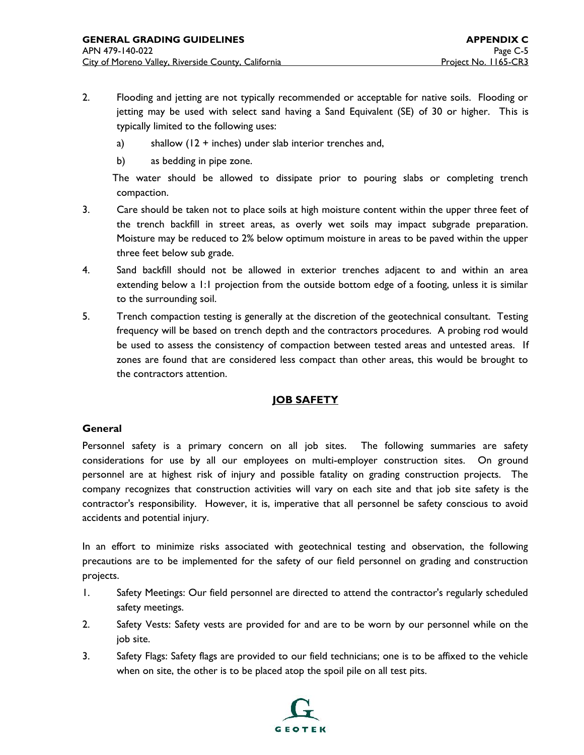- 2. Flooding and jetting are not typically recommended or acceptable for native soils. Flooding or jetting may be used with select sand having a Sand Equivalent (SE) of 30 or higher. This is typically limited to the following uses:
	- a) shallow  $(12 + \text{inches})$  under slab interior trenches and,
	- b) as bedding in pipe zone.

The water should be allowed to dissipate prior to pouring slabs or completing trench compaction.

- 3. Care should be taken not to place soils at high moisture content within the upper three feet of the trench backfill in street areas, as overly wet soils may impact subgrade preparation. Moisture may be reduced to 2% below optimum moisture in areas to be paved within the upper three feet below sub grade.
- 4. Sand backfill should not be allowed in exterior trenches adjacent to and within an area extending below a 1:1 projection from the outside bottom edge of a footing, unless it is similar to the surrounding soil.
- 5. Trench compaction testing is generally at the discretion of the geotechnical consultant. Testing frequency will be based on trench depth and the contractors procedures. A probing rod would be used to assess the consistency of compaction between tested areas and untested areas. If zones are found that are considered less compact than other areas, this would be brought to the contractors attention.

#### **JOB SAFETY**

#### **General**

Personnel safety is a primary concern on all job sites. The following summaries are safety considerations for use by all our employees on multi-employer construction sites. On ground personnel are at highest risk of injury and possible fatality on grading construction projects. The company recognizes that construction activities will vary on each site and that job site safety is the contractor's responsibility. However, it is, imperative that all personnel be safety conscious to avoid accidents and potential injury.

In an effort to minimize risks associated with geotechnical testing and observation, the following precautions are to be implemented for the safety of our field personnel on grading and construction projects.

- 1. Safety Meetings: Our field personnel are directed to attend the contractor's regularly scheduled safety meetings.
- 2. Safety Vests: Safety vests are provided for and are to be worn by our personnel while on the job site.
- 3. Safety Flags: Safety flags are provided to our field technicians; one is to be affixed to the vehicle when on site, the other is to be placed atop the spoil pile on all test pits.

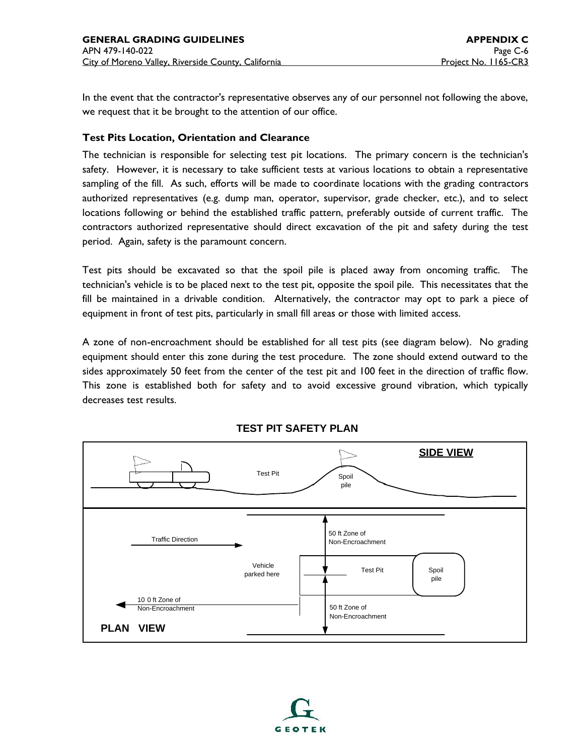In the event that the contractor's representative observes any of our personnel not following the above, we request that it be brought to the attention of our office.

#### **Test Pits Location, Orientation and Clearance**

The technician is responsible for selecting test pit locations. The primary concern is the technician's safety. However, it is necessary to take sufficient tests at various locations to obtain a representative sampling of the fill. As such, efforts will be made to coordinate locations with the grading contractors authorized representatives (e.g. dump man, operator, supervisor, grade checker, etc.), and to select locations following or behind the established traffic pattern, preferably outside of current traffic. The contractors authorized representative should direct excavation of the pit and safety during the test period. Again, safety is the paramount concern.

Test pits should be excavated so that the spoil pile is placed away from oncoming traffic. The technician's vehicle is to be placed next to the test pit, opposite the spoil pile. This necessitates that the fill be maintained in a drivable condition. Alternatively, the contractor may opt to park a piece of equipment in front of test pits, particularly in small fill areas or those with limited access.

A zone of non-encroachment should be established for all test pits (see diagram below). No grading equipment should enter this zone during the test procedure. The zone should extend outward to the sides approximately 50 feet from the center of the test pit and 100 feet in the direction of traffic flow. This zone is established both for safety and to avoid excessive ground vibration, which typically decreases test results.



**TEST PIT SAFETY PLAN**

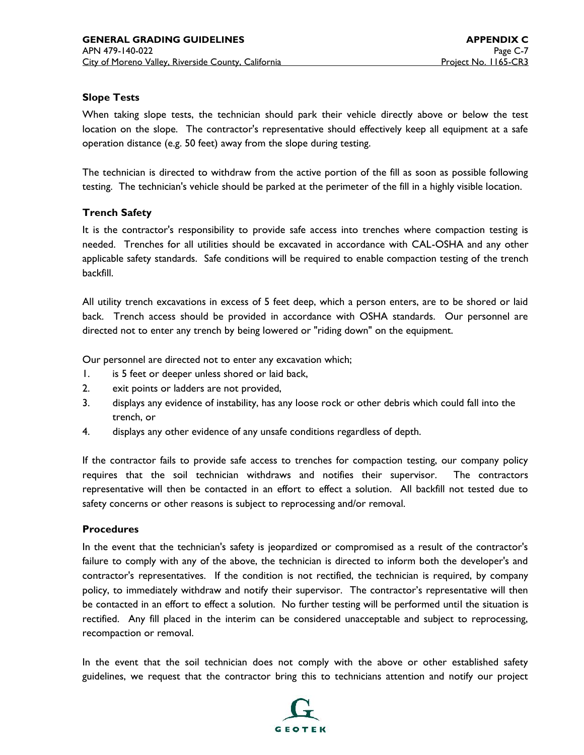#### **Slope Tests**

When taking slope tests, the technician should park their vehicle directly above or below the test location on the slope. The contractor's representative should effectively keep all equipment at a safe operation distance (e.g. 50 feet) away from the slope during testing.

The technician is directed to withdraw from the active portion of the fill as soon as possible following testing. The technician's vehicle should be parked at the perimeter of the fill in a highly visible location.

#### **Trench Safety**

It is the contractor's responsibility to provide safe access into trenches where compaction testing is needed. Trenches for all utilities should be excavated in accordance with CAL-OSHA and any other applicable safety standards. Safe conditions will be required to enable compaction testing of the trench backfill.

All utility trench excavations in excess of 5 feet deep, which a person enters, are to be shored or laid back. Trench access should be provided in accordance with OSHA standards. Our personnel are directed not to enter any trench by being lowered or "riding down" on the equipment.

Our personnel are directed not to enter any excavation which;

- 1. is 5 feet or deeper unless shored or laid back,
- 2. exit points or ladders are not provided,
- 3. displays any evidence of instability, has any loose rock or other debris which could fall into the trench, or
- 4. displays any other evidence of any unsafe conditions regardless of depth.

If the contractor fails to provide safe access to trenches for compaction testing, our company policy requires that the soil technician withdraws and notifies their supervisor. The contractors representative will then be contacted in an effort to effect a solution. All backfill not tested due to safety concerns or other reasons is subject to reprocessing and/or removal.

#### **Procedures**

In the event that the technician's safety is jeopardized or compromised as a result of the contractor's failure to comply with any of the above, the technician is directed to inform both the developer's and contractor's representatives. If the condition is not rectified, the technician is required, by company policy, to immediately withdraw and notify their supervisor. The contractor's representative will then be contacted in an effort to effect a solution. No further testing will be performed until the situation is rectified. Any fill placed in the interim can be considered unacceptable and subject to reprocessing, recompaction or removal.

In the event that the soil technician does not comply with the above or other established safety guidelines, we request that the contractor bring this to technicians attention and notify our project